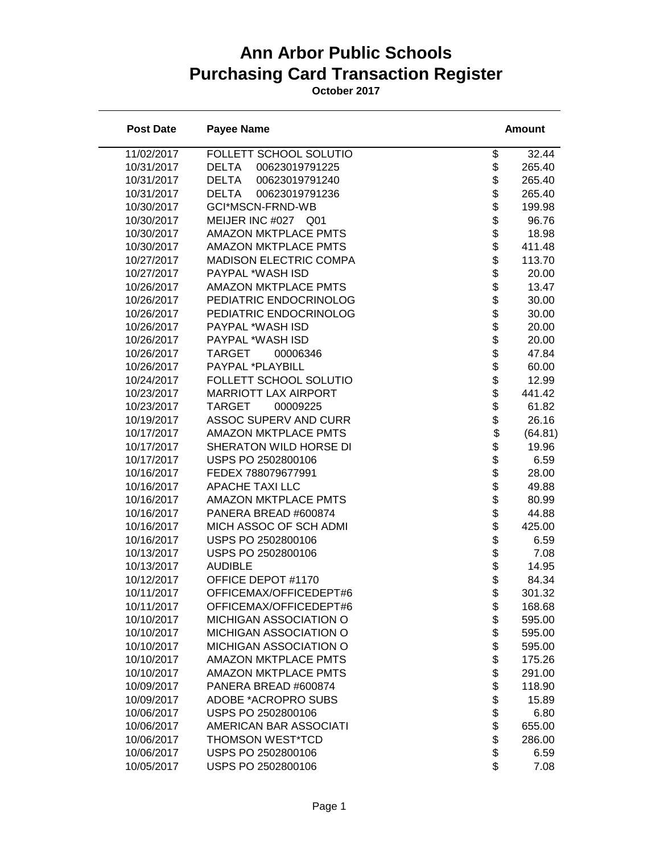## **Ann Arbor Public Schools Purchasing Card Transaction Register**

**October 2017**

| <b>Post Date</b> | <b>Payee Name</b>              | <b>Amount</b>                                     |
|------------------|--------------------------------|---------------------------------------------------|
| 11/02/2017       | FOLLETT SCHOOL SOLUTIO         | \$<br>32.44                                       |
| 10/31/2017       | <b>DELTA</b><br>00623019791225 | \$<br>265.40                                      |
| 10/31/2017       | 00623019791240<br>DELTA        | 265.40                                            |
| 10/31/2017       | <b>DELTA</b><br>00623019791236 | 265.40                                            |
| 10/30/2017       | GCI*MSCN-FRND-WB               | \$\$\$\$\$\$\$<br>199.98                          |
| 10/30/2017       | MEIJER INC #027 Q01            | 96.76                                             |
| 10/30/2017       | <b>AMAZON MKTPLACE PMTS</b>    | 18.98                                             |
| 10/30/2017       | <b>AMAZON MKTPLACE PMTS</b>    | 411.48                                            |
| 10/27/2017       | MADISON ELECTRIC COMPA         | $\ddot{\$}$<br>113.70                             |
| 10/27/2017       | PAYPAL *WASH ISD               | \$<br>20.00                                       |
| 10/26/2017       | <b>AMAZON MKTPLACE PMTS</b>    | 13.47                                             |
| 10/26/2017       | PEDIATRIC ENDOCRINOLOG         | 30.00                                             |
| 10/26/2017       | PEDIATRIC ENDOCRINOLOG         | 30.00                                             |
| 10/26/2017       | PAYPAL *WASH ISD               | 20.00                                             |
| 10/26/2017       | PAYPAL *WASH ISD               | 20.00                                             |
| 10/26/2017       | <b>TARGET</b><br>00006346      | 47.84                                             |
| 10/26/2017       | PAYPAL *PLAYBILL               | 60.00                                             |
| 10/24/2017       | FOLLETT SCHOOL SOLUTIO         | 12.99                                             |
| 10/23/2017       | <b>MARRIOTT LAX AIRPORT</b>    | 441.42                                            |
| 10/23/2017       | <b>TARGET</b><br>00009225      | 61.82                                             |
| 10/19/2017       | <b>ASSOC SUPERV AND CURR</b>   | 26.16                                             |
| 10/17/2017       | <b>AMAZON MKTPLACE PMTS</b>    | (64.81)                                           |
| 10/17/2017       | SHERATON WILD HORSE DI         | \$\$\$\$\$\$\$\$\$\$\$\$\$\$\$\$\$\$\$\$<br>19.96 |
| 10/17/2017       | USPS PO 2502800106             | 6.59                                              |
| 10/16/2017       | FEDEX 788079677991             | 28.00                                             |
| 10/16/2017       | <b>APACHE TAXI LLC</b>         | 49.88                                             |
| 10/16/2017       | <b>AMAZON MKTPLACE PMTS</b>    | \$<br>80.99                                       |
| 10/16/2017       | PANERA BREAD #600874           | \$<br>44.88                                       |
| 10/16/2017       | MICH ASSOC OF SCH ADMI         | 425.00                                            |
| 10/16/2017       | USPS PO 2502800106             | 6.59                                              |
| 10/13/2017       | USPS PO 2502800106             | 7.08                                              |
| 10/13/2017       | <b>AUDIBLE</b>                 | \$\$\$\$<br>14.95                                 |
| 10/12/2017       | OFFICE DEPOT #1170             | 84.34                                             |
| 10/11/2017       | OFFICEMAX/OFFICEDEPT#6         | \$<br>301.32                                      |
| 10/11/2017       | OFFICEMAX/OFFICEDEPT#6         | 168.68<br>\$                                      |
| 10/10/2017       | MICHIGAN ASSOCIATION O         | \$<br>595.00                                      |
| 10/10/2017       | MICHIGAN ASSOCIATION O         | \$<br>595.00                                      |
| 10/10/2017       | MICHIGAN ASSOCIATION O         | \$<br>595.00                                      |
| 10/10/2017       | <b>AMAZON MKTPLACE PMTS</b>    | 175.26                                            |
| 10/10/2017       | <b>AMAZON MKTPLACE PMTS</b>    | \$<br>291.00                                      |
| 10/09/2017       | PANERA BREAD #600874           | 118.90                                            |
| 10/09/2017       | ADOBE *ACROPRO SUBS            | \$<br>15.89                                       |
| 10/06/2017       | USPS PO 2502800106             | \$<br>6.80                                        |
| 10/06/2017       | AMERICAN BAR ASSOCIATI         | 655.00                                            |
| 10/06/2017       | <b>THOMSON WEST*TCD</b>        | \$\$\$\$<br>286.00                                |
| 10/06/2017       | USPS PO 2502800106             | 6.59                                              |
| 10/05/2017       | USPS PO 2502800106             | 7.08                                              |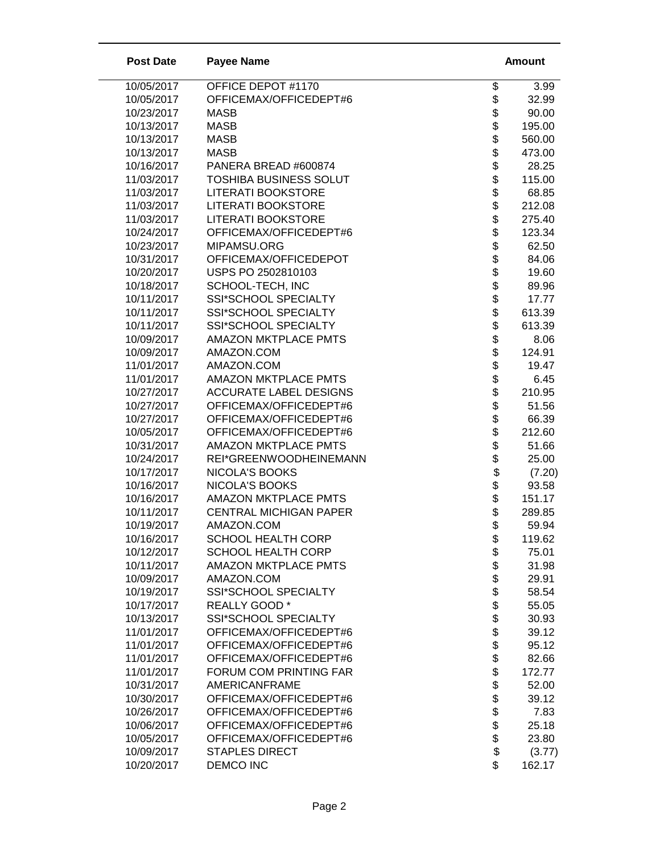| OFFICE DEPOT #1170<br>10/05/2017<br>\$<br>3.99<br>\$<br>10/05/2017<br>OFFICEMAX/OFFICEDEPT#6<br>32.99<br>\$\$<br>10/23/2017<br>90.00<br><b>MASB</b><br>10/13/2017<br><b>MASB</b><br>195.00<br>10/13/2017<br><b>MASB</b><br>560.00<br>\$<br>10/13/2017<br><b>MASB</b><br>473.00<br>\$\$<br>10/16/2017<br>28.25<br>PANERA BREAD #600874<br>11/03/2017<br><b>TOSHIBA BUSINESS SOLUT</b><br>115.00<br><b>LITERATI BOOKSTORE</b><br>11/03/2017<br>68.85<br>\$<br><b>LITERATI BOOKSTORE</b><br>11/03/2017<br>212.08<br>\$<br>11/03/2017<br><b>LITERATI BOOKSTORE</b><br>275.40<br>\$<br>10/24/2017<br>OFFICEMAX/OFFICEDEPT#6<br>123.34<br><b>8888888888</b><br>10/23/2017<br>MIPAMSU.ORG<br>62.50<br>10/31/2017<br>OFFICEMAX/OFFICEDEPOT<br>84.06<br>10/20/2017<br>USPS PO 2502810103<br>19.60<br>10/18/2017<br>SCHOOL-TECH, INC<br>89.96<br>10/11/2017<br>SSI*SCHOOL SPECIALTY<br>17.77<br>10/11/2017<br>SSI*SCHOOL SPECIALTY<br>613.39<br>10/11/2017<br>SSI*SCHOOL SPECIALTY<br>613.39<br>10/09/2017<br><b>AMAZON MKTPLACE PMTS</b><br>8.06<br>10/09/2017<br>AMAZON.COM<br>124.91<br>11/01/2017<br>AMAZON.COM<br>19.47<br>\$<br>11/01/2017<br><b>AMAZON MKTPLACE PMTS</b><br>6.45<br>10/27/2017<br><b>ACCURATE LABEL DESIGNS</b><br>210.95<br>\$<br>10/27/2017<br>OFFICEMAX/OFFICEDEPT#6<br>51.56<br>\$<br>10/27/2017<br>OFFICEMAX/OFFICEDEPT#6<br>66.39<br>\$<br>10/05/2017<br>OFFICEMAX/OFFICEDEPT#6<br>212.60<br>\$<br>10/31/2017<br><b>AMAZON MKTPLACE PMTS</b><br>51.66<br>\$<br>10/24/2017<br>REI*GREENWOODHEINEMANN<br>25.00<br>\$\$\$\$<br>10/17/2017<br>NICOLA'S BOOKS<br>(7.20)<br>10/16/2017<br><b>NICOLA'S BOOKS</b><br>93.58<br>10/16/2017<br><b>AMAZON MKTPLACE PMTS</b><br>151.17<br><b>CENTRAL MICHIGAN PAPER</b><br>10/11/2017<br>289.85<br>\$<br>10/19/2017<br>AMAZON.COM<br>59.94<br>10/16/2017<br><b>SCHOOL HEALTH CORP</b><br>\$<br>119.62<br>\$\$\$\$\$\$\$\$\$<br>10/12/2017<br><b>SCHOOL HEALTH CORP</b><br>75.01<br><b>AMAZON MKTPLACE PMTS</b><br>31.98<br>10/11/2017<br>AMAZON.COM<br>29.91<br>10/09/2017<br>10/19/2017<br>SSI*SCHOOL SPECIALTY<br>58.54<br>10/17/2017<br>REALLY GOOD *<br>55.05<br>10/13/2017<br>SSI*SCHOOL SPECIALTY<br>30.93<br>11/01/2017<br>OFFICEMAX/OFFICEDEPT#6<br>39.12<br>OFFICEMAX/OFFICEDEPT#6<br>11/01/2017<br>95.12<br>\$<br>11/01/2017<br>OFFICEMAX/OFFICEDEPT#6<br>82.66<br>11/01/2017<br><b>FORUM COM PRINTING FAR</b><br>172.77<br>888888<br>10/31/2017<br><b>AMERICANFRAME</b><br>52.00<br>10/30/2017<br>OFFICEMAX/OFFICEDEPT#6<br>39.12<br>10/26/2017<br>OFFICEMAX/OFFICEDEPT#6<br>7.83<br>10/06/2017<br>OFFICEMAX/OFFICEDEPT#6<br>25.18<br>10/05/2017<br>OFFICEMAX/OFFICEDEPT#6<br>23.80<br>10/09/2017<br><b>STAPLES DIRECT</b><br>(3.77)<br>\$<br>10/20/2017<br><b>DEMCO INC</b><br>162.17 | <b>Post Date</b> | <b>Payee Name</b> | <b>Amount</b> |
|---------------------------------------------------------------------------------------------------------------------------------------------------------------------------------------------------------------------------------------------------------------------------------------------------------------------------------------------------------------------------------------------------------------------------------------------------------------------------------------------------------------------------------------------------------------------------------------------------------------------------------------------------------------------------------------------------------------------------------------------------------------------------------------------------------------------------------------------------------------------------------------------------------------------------------------------------------------------------------------------------------------------------------------------------------------------------------------------------------------------------------------------------------------------------------------------------------------------------------------------------------------------------------------------------------------------------------------------------------------------------------------------------------------------------------------------------------------------------------------------------------------------------------------------------------------------------------------------------------------------------------------------------------------------------------------------------------------------------------------------------------------------------------------------------------------------------------------------------------------------------------------------------------------------------------------------------------------------------------------------------------------------------------------------------------------------------------------------------------------------------------------------------------------------------------------------------------------------------------------------------------------------------------------------------------------------------------------------------------------------------------------------------------------------------------------------------------------------------------------------------------------------------------------------------------------------------------------------------------------------------------------------------------------------------------------------------------------------------------------------------------|------------------|-------------------|---------------|
|                                                                                                                                                                                                                                                                                                                                                                                                                                                                                                                                                                                                                                                                                                                                                                                                                                                                                                                                                                                                                                                                                                                                                                                                                                                                                                                                                                                                                                                                                                                                                                                                                                                                                                                                                                                                                                                                                                                                                                                                                                                                                                                                                                                                                                                                                                                                                                                                                                                                                                                                                                                                                                                                                                                                                         |                  |                   |               |
|                                                                                                                                                                                                                                                                                                                                                                                                                                                                                                                                                                                                                                                                                                                                                                                                                                                                                                                                                                                                                                                                                                                                                                                                                                                                                                                                                                                                                                                                                                                                                                                                                                                                                                                                                                                                                                                                                                                                                                                                                                                                                                                                                                                                                                                                                                                                                                                                                                                                                                                                                                                                                                                                                                                                                         |                  |                   |               |
|                                                                                                                                                                                                                                                                                                                                                                                                                                                                                                                                                                                                                                                                                                                                                                                                                                                                                                                                                                                                                                                                                                                                                                                                                                                                                                                                                                                                                                                                                                                                                                                                                                                                                                                                                                                                                                                                                                                                                                                                                                                                                                                                                                                                                                                                                                                                                                                                                                                                                                                                                                                                                                                                                                                                                         |                  |                   |               |
|                                                                                                                                                                                                                                                                                                                                                                                                                                                                                                                                                                                                                                                                                                                                                                                                                                                                                                                                                                                                                                                                                                                                                                                                                                                                                                                                                                                                                                                                                                                                                                                                                                                                                                                                                                                                                                                                                                                                                                                                                                                                                                                                                                                                                                                                                                                                                                                                                                                                                                                                                                                                                                                                                                                                                         |                  |                   |               |
|                                                                                                                                                                                                                                                                                                                                                                                                                                                                                                                                                                                                                                                                                                                                                                                                                                                                                                                                                                                                                                                                                                                                                                                                                                                                                                                                                                                                                                                                                                                                                                                                                                                                                                                                                                                                                                                                                                                                                                                                                                                                                                                                                                                                                                                                                                                                                                                                                                                                                                                                                                                                                                                                                                                                                         |                  |                   |               |
|                                                                                                                                                                                                                                                                                                                                                                                                                                                                                                                                                                                                                                                                                                                                                                                                                                                                                                                                                                                                                                                                                                                                                                                                                                                                                                                                                                                                                                                                                                                                                                                                                                                                                                                                                                                                                                                                                                                                                                                                                                                                                                                                                                                                                                                                                                                                                                                                                                                                                                                                                                                                                                                                                                                                                         |                  |                   |               |
|                                                                                                                                                                                                                                                                                                                                                                                                                                                                                                                                                                                                                                                                                                                                                                                                                                                                                                                                                                                                                                                                                                                                                                                                                                                                                                                                                                                                                                                                                                                                                                                                                                                                                                                                                                                                                                                                                                                                                                                                                                                                                                                                                                                                                                                                                                                                                                                                                                                                                                                                                                                                                                                                                                                                                         |                  |                   |               |
|                                                                                                                                                                                                                                                                                                                                                                                                                                                                                                                                                                                                                                                                                                                                                                                                                                                                                                                                                                                                                                                                                                                                                                                                                                                                                                                                                                                                                                                                                                                                                                                                                                                                                                                                                                                                                                                                                                                                                                                                                                                                                                                                                                                                                                                                                                                                                                                                                                                                                                                                                                                                                                                                                                                                                         |                  |                   |               |
|                                                                                                                                                                                                                                                                                                                                                                                                                                                                                                                                                                                                                                                                                                                                                                                                                                                                                                                                                                                                                                                                                                                                                                                                                                                                                                                                                                                                                                                                                                                                                                                                                                                                                                                                                                                                                                                                                                                                                                                                                                                                                                                                                                                                                                                                                                                                                                                                                                                                                                                                                                                                                                                                                                                                                         |                  |                   |               |
|                                                                                                                                                                                                                                                                                                                                                                                                                                                                                                                                                                                                                                                                                                                                                                                                                                                                                                                                                                                                                                                                                                                                                                                                                                                                                                                                                                                                                                                                                                                                                                                                                                                                                                                                                                                                                                                                                                                                                                                                                                                                                                                                                                                                                                                                                                                                                                                                                                                                                                                                                                                                                                                                                                                                                         |                  |                   |               |
|                                                                                                                                                                                                                                                                                                                                                                                                                                                                                                                                                                                                                                                                                                                                                                                                                                                                                                                                                                                                                                                                                                                                                                                                                                                                                                                                                                                                                                                                                                                                                                                                                                                                                                                                                                                                                                                                                                                                                                                                                                                                                                                                                                                                                                                                                                                                                                                                                                                                                                                                                                                                                                                                                                                                                         |                  |                   |               |
|                                                                                                                                                                                                                                                                                                                                                                                                                                                                                                                                                                                                                                                                                                                                                                                                                                                                                                                                                                                                                                                                                                                                                                                                                                                                                                                                                                                                                                                                                                                                                                                                                                                                                                                                                                                                                                                                                                                                                                                                                                                                                                                                                                                                                                                                                                                                                                                                                                                                                                                                                                                                                                                                                                                                                         |                  |                   |               |
|                                                                                                                                                                                                                                                                                                                                                                                                                                                                                                                                                                                                                                                                                                                                                                                                                                                                                                                                                                                                                                                                                                                                                                                                                                                                                                                                                                                                                                                                                                                                                                                                                                                                                                                                                                                                                                                                                                                                                                                                                                                                                                                                                                                                                                                                                                                                                                                                                                                                                                                                                                                                                                                                                                                                                         |                  |                   |               |
|                                                                                                                                                                                                                                                                                                                                                                                                                                                                                                                                                                                                                                                                                                                                                                                                                                                                                                                                                                                                                                                                                                                                                                                                                                                                                                                                                                                                                                                                                                                                                                                                                                                                                                                                                                                                                                                                                                                                                                                                                                                                                                                                                                                                                                                                                                                                                                                                                                                                                                                                                                                                                                                                                                                                                         |                  |                   |               |
|                                                                                                                                                                                                                                                                                                                                                                                                                                                                                                                                                                                                                                                                                                                                                                                                                                                                                                                                                                                                                                                                                                                                                                                                                                                                                                                                                                                                                                                                                                                                                                                                                                                                                                                                                                                                                                                                                                                                                                                                                                                                                                                                                                                                                                                                                                                                                                                                                                                                                                                                                                                                                                                                                                                                                         |                  |                   |               |
|                                                                                                                                                                                                                                                                                                                                                                                                                                                                                                                                                                                                                                                                                                                                                                                                                                                                                                                                                                                                                                                                                                                                                                                                                                                                                                                                                                                                                                                                                                                                                                                                                                                                                                                                                                                                                                                                                                                                                                                                                                                                                                                                                                                                                                                                                                                                                                                                                                                                                                                                                                                                                                                                                                                                                         |                  |                   |               |
|                                                                                                                                                                                                                                                                                                                                                                                                                                                                                                                                                                                                                                                                                                                                                                                                                                                                                                                                                                                                                                                                                                                                                                                                                                                                                                                                                                                                                                                                                                                                                                                                                                                                                                                                                                                                                                                                                                                                                                                                                                                                                                                                                                                                                                                                                                                                                                                                                                                                                                                                                                                                                                                                                                                                                         |                  |                   |               |
|                                                                                                                                                                                                                                                                                                                                                                                                                                                                                                                                                                                                                                                                                                                                                                                                                                                                                                                                                                                                                                                                                                                                                                                                                                                                                                                                                                                                                                                                                                                                                                                                                                                                                                                                                                                                                                                                                                                                                                                                                                                                                                                                                                                                                                                                                                                                                                                                                                                                                                                                                                                                                                                                                                                                                         |                  |                   |               |
|                                                                                                                                                                                                                                                                                                                                                                                                                                                                                                                                                                                                                                                                                                                                                                                                                                                                                                                                                                                                                                                                                                                                                                                                                                                                                                                                                                                                                                                                                                                                                                                                                                                                                                                                                                                                                                                                                                                                                                                                                                                                                                                                                                                                                                                                                                                                                                                                                                                                                                                                                                                                                                                                                                                                                         |                  |                   |               |
|                                                                                                                                                                                                                                                                                                                                                                                                                                                                                                                                                                                                                                                                                                                                                                                                                                                                                                                                                                                                                                                                                                                                                                                                                                                                                                                                                                                                                                                                                                                                                                                                                                                                                                                                                                                                                                                                                                                                                                                                                                                                                                                                                                                                                                                                                                                                                                                                                                                                                                                                                                                                                                                                                                                                                         |                  |                   |               |
|                                                                                                                                                                                                                                                                                                                                                                                                                                                                                                                                                                                                                                                                                                                                                                                                                                                                                                                                                                                                                                                                                                                                                                                                                                                                                                                                                                                                                                                                                                                                                                                                                                                                                                                                                                                                                                                                                                                                                                                                                                                                                                                                                                                                                                                                                                                                                                                                                                                                                                                                                                                                                                                                                                                                                         |                  |                   |               |
|                                                                                                                                                                                                                                                                                                                                                                                                                                                                                                                                                                                                                                                                                                                                                                                                                                                                                                                                                                                                                                                                                                                                                                                                                                                                                                                                                                                                                                                                                                                                                                                                                                                                                                                                                                                                                                                                                                                                                                                                                                                                                                                                                                                                                                                                                                                                                                                                                                                                                                                                                                                                                                                                                                                                                         |                  |                   |               |
|                                                                                                                                                                                                                                                                                                                                                                                                                                                                                                                                                                                                                                                                                                                                                                                                                                                                                                                                                                                                                                                                                                                                                                                                                                                                                                                                                                                                                                                                                                                                                                                                                                                                                                                                                                                                                                                                                                                                                                                                                                                                                                                                                                                                                                                                                                                                                                                                                                                                                                                                                                                                                                                                                                                                                         |                  |                   |               |
|                                                                                                                                                                                                                                                                                                                                                                                                                                                                                                                                                                                                                                                                                                                                                                                                                                                                                                                                                                                                                                                                                                                                                                                                                                                                                                                                                                                                                                                                                                                                                                                                                                                                                                                                                                                                                                                                                                                                                                                                                                                                                                                                                                                                                                                                                                                                                                                                                                                                                                                                                                                                                                                                                                                                                         |                  |                   |               |
|                                                                                                                                                                                                                                                                                                                                                                                                                                                                                                                                                                                                                                                                                                                                                                                                                                                                                                                                                                                                                                                                                                                                                                                                                                                                                                                                                                                                                                                                                                                                                                                                                                                                                                                                                                                                                                                                                                                                                                                                                                                                                                                                                                                                                                                                                                                                                                                                                                                                                                                                                                                                                                                                                                                                                         |                  |                   |               |
|                                                                                                                                                                                                                                                                                                                                                                                                                                                                                                                                                                                                                                                                                                                                                                                                                                                                                                                                                                                                                                                                                                                                                                                                                                                                                                                                                                                                                                                                                                                                                                                                                                                                                                                                                                                                                                                                                                                                                                                                                                                                                                                                                                                                                                                                                                                                                                                                                                                                                                                                                                                                                                                                                                                                                         |                  |                   |               |
|                                                                                                                                                                                                                                                                                                                                                                                                                                                                                                                                                                                                                                                                                                                                                                                                                                                                                                                                                                                                                                                                                                                                                                                                                                                                                                                                                                                                                                                                                                                                                                                                                                                                                                                                                                                                                                                                                                                                                                                                                                                                                                                                                                                                                                                                                                                                                                                                                                                                                                                                                                                                                                                                                                                                                         |                  |                   |               |
|                                                                                                                                                                                                                                                                                                                                                                                                                                                                                                                                                                                                                                                                                                                                                                                                                                                                                                                                                                                                                                                                                                                                                                                                                                                                                                                                                                                                                                                                                                                                                                                                                                                                                                                                                                                                                                                                                                                                                                                                                                                                                                                                                                                                                                                                                                                                                                                                                                                                                                                                                                                                                                                                                                                                                         |                  |                   |               |
|                                                                                                                                                                                                                                                                                                                                                                                                                                                                                                                                                                                                                                                                                                                                                                                                                                                                                                                                                                                                                                                                                                                                                                                                                                                                                                                                                                                                                                                                                                                                                                                                                                                                                                                                                                                                                                                                                                                                                                                                                                                                                                                                                                                                                                                                                                                                                                                                                                                                                                                                                                                                                                                                                                                                                         |                  |                   |               |
|                                                                                                                                                                                                                                                                                                                                                                                                                                                                                                                                                                                                                                                                                                                                                                                                                                                                                                                                                                                                                                                                                                                                                                                                                                                                                                                                                                                                                                                                                                                                                                                                                                                                                                                                                                                                                                                                                                                                                                                                                                                                                                                                                                                                                                                                                                                                                                                                                                                                                                                                                                                                                                                                                                                                                         |                  |                   |               |
|                                                                                                                                                                                                                                                                                                                                                                                                                                                                                                                                                                                                                                                                                                                                                                                                                                                                                                                                                                                                                                                                                                                                                                                                                                                                                                                                                                                                                                                                                                                                                                                                                                                                                                                                                                                                                                                                                                                                                                                                                                                                                                                                                                                                                                                                                                                                                                                                                                                                                                                                                                                                                                                                                                                                                         |                  |                   |               |
|                                                                                                                                                                                                                                                                                                                                                                                                                                                                                                                                                                                                                                                                                                                                                                                                                                                                                                                                                                                                                                                                                                                                                                                                                                                                                                                                                                                                                                                                                                                                                                                                                                                                                                                                                                                                                                                                                                                                                                                                                                                                                                                                                                                                                                                                                                                                                                                                                                                                                                                                                                                                                                                                                                                                                         |                  |                   |               |
|                                                                                                                                                                                                                                                                                                                                                                                                                                                                                                                                                                                                                                                                                                                                                                                                                                                                                                                                                                                                                                                                                                                                                                                                                                                                                                                                                                                                                                                                                                                                                                                                                                                                                                                                                                                                                                                                                                                                                                                                                                                                                                                                                                                                                                                                                                                                                                                                                                                                                                                                                                                                                                                                                                                                                         |                  |                   |               |
|                                                                                                                                                                                                                                                                                                                                                                                                                                                                                                                                                                                                                                                                                                                                                                                                                                                                                                                                                                                                                                                                                                                                                                                                                                                                                                                                                                                                                                                                                                                                                                                                                                                                                                                                                                                                                                                                                                                                                                                                                                                                                                                                                                                                                                                                                                                                                                                                                                                                                                                                                                                                                                                                                                                                                         |                  |                   |               |
|                                                                                                                                                                                                                                                                                                                                                                                                                                                                                                                                                                                                                                                                                                                                                                                                                                                                                                                                                                                                                                                                                                                                                                                                                                                                                                                                                                                                                                                                                                                                                                                                                                                                                                                                                                                                                                                                                                                                                                                                                                                                                                                                                                                                                                                                                                                                                                                                                                                                                                                                                                                                                                                                                                                                                         |                  |                   |               |
|                                                                                                                                                                                                                                                                                                                                                                                                                                                                                                                                                                                                                                                                                                                                                                                                                                                                                                                                                                                                                                                                                                                                                                                                                                                                                                                                                                                                                                                                                                                                                                                                                                                                                                                                                                                                                                                                                                                                                                                                                                                                                                                                                                                                                                                                                                                                                                                                                                                                                                                                                                                                                                                                                                                                                         |                  |                   |               |
|                                                                                                                                                                                                                                                                                                                                                                                                                                                                                                                                                                                                                                                                                                                                                                                                                                                                                                                                                                                                                                                                                                                                                                                                                                                                                                                                                                                                                                                                                                                                                                                                                                                                                                                                                                                                                                                                                                                                                                                                                                                                                                                                                                                                                                                                                                                                                                                                                                                                                                                                                                                                                                                                                                                                                         |                  |                   |               |
|                                                                                                                                                                                                                                                                                                                                                                                                                                                                                                                                                                                                                                                                                                                                                                                                                                                                                                                                                                                                                                                                                                                                                                                                                                                                                                                                                                                                                                                                                                                                                                                                                                                                                                                                                                                                                                                                                                                                                                                                                                                                                                                                                                                                                                                                                                                                                                                                                                                                                                                                                                                                                                                                                                                                                         |                  |                   |               |
|                                                                                                                                                                                                                                                                                                                                                                                                                                                                                                                                                                                                                                                                                                                                                                                                                                                                                                                                                                                                                                                                                                                                                                                                                                                                                                                                                                                                                                                                                                                                                                                                                                                                                                                                                                                                                                                                                                                                                                                                                                                                                                                                                                                                                                                                                                                                                                                                                                                                                                                                                                                                                                                                                                                                                         |                  |                   |               |
|                                                                                                                                                                                                                                                                                                                                                                                                                                                                                                                                                                                                                                                                                                                                                                                                                                                                                                                                                                                                                                                                                                                                                                                                                                                                                                                                                                                                                                                                                                                                                                                                                                                                                                                                                                                                                                                                                                                                                                                                                                                                                                                                                                                                                                                                                                                                                                                                                                                                                                                                                                                                                                                                                                                                                         |                  |                   |               |
|                                                                                                                                                                                                                                                                                                                                                                                                                                                                                                                                                                                                                                                                                                                                                                                                                                                                                                                                                                                                                                                                                                                                                                                                                                                                                                                                                                                                                                                                                                                                                                                                                                                                                                                                                                                                                                                                                                                                                                                                                                                                                                                                                                                                                                                                                                                                                                                                                                                                                                                                                                                                                                                                                                                                                         |                  |                   |               |
|                                                                                                                                                                                                                                                                                                                                                                                                                                                                                                                                                                                                                                                                                                                                                                                                                                                                                                                                                                                                                                                                                                                                                                                                                                                                                                                                                                                                                                                                                                                                                                                                                                                                                                                                                                                                                                                                                                                                                                                                                                                                                                                                                                                                                                                                                                                                                                                                                                                                                                                                                                                                                                                                                                                                                         |                  |                   |               |
|                                                                                                                                                                                                                                                                                                                                                                                                                                                                                                                                                                                                                                                                                                                                                                                                                                                                                                                                                                                                                                                                                                                                                                                                                                                                                                                                                                                                                                                                                                                                                                                                                                                                                                                                                                                                                                                                                                                                                                                                                                                                                                                                                                                                                                                                                                                                                                                                                                                                                                                                                                                                                                                                                                                                                         |                  |                   |               |
|                                                                                                                                                                                                                                                                                                                                                                                                                                                                                                                                                                                                                                                                                                                                                                                                                                                                                                                                                                                                                                                                                                                                                                                                                                                                                                                                                                                                                                                                                                                                                                                                                                                                                                                                                                                                                                                                                                                                                                                                                                                                                                                                                                                                                                                                                                                                                                                                                                                                                                                                                                                                                                                                                                                                                         |                  |                   |               |
|                                                                                                                                                                                                                                                                                                                                                                                                                                                                                                                                                                                                                                                                                                                                                                                                                                                                                                                                                                                                                                                                                                                                                                                                                                                                                                                                                                                                                                                                                                                                                                                                                                                                                                                                                                                                                                                                                                                                                                                                                                                                                                                                                                                                                                                                                                                                                                                                                                                                                                                                                                                                                                                                                                                                                         |                  |                   |               |
|                                                                                                                                                                                                                                                                                                                                                                                                                                                                                                                                                                                                                                                                                                                                                                                                                                                                                                                                                                                                                                                                                                                                                                                                                                                                                                                                                                                                                                                                                                                                                                                                                                                                                                                                                                                                                                                                                                                                                                                                                                                                                                                                                                                                                                                                                                                                                                                                                                                                                                                                                                                                                                                                                                                                                         |                  |                   |               |
|                                                                                                                                                                                                                                                                                                                                                                                                                                                                                                                                                                                                                                                                                                                                                                                                                                                                                                                                                                                                                                                                                                                                                                                                                                                                                                                                                                                                                                                                                                                                                                                                                                                                                                                                                                                                                                                                                                                                                                                                                                                                                                                                                                                                                                                                                                                                                                                                                                                                                                                                                                                                                                                                                                                                                         |                  |                   |               |
|                                                                                                                                                                                                                                                                                                                                                                                                                                                                                                                                                                                                                                                                                                                                                                                                                                                                                                                                                                                                                                                                                                                                                                                                                                                                                                                                                                                                                                                                                                                                                                                                                                                                                                                                                                                                                                                                                                                                                                                                                                                                                                                                                                                                                                                                                                                                                                                                                                                                                                                                                                                                                                                                                                                                                         |                  |                   |               |
|                                                                                                                                                                                                                                                                                                                                                                                                                                                                                                                                                                                                                                                                                                                                                                                                                                                                                                                                                                                                                                                                                                                                                                                                                                                                                                                                                                                                                                                                                                                                                                                                                                                                                                                                                                                                                                                                                                                                                                                                                                                                                                                                                                                                                                                                                                                                                                                                                                                                                                                                                                                                                                                                                                                                                         |                  |                   |               |
|                                                                                                                                                                                                                                                                                                                                                                                                                                                                                                                                                                                                                                                                                                                                                                                                                                                                                                                                                                                                                                                                                                                                                                                                                                                                                                                                                                                                                                                                                                                                                                                                                                                                                                                                                                                                                                                                                                                                                                                                                                                                                                                                                                                                                                                                                                                                                                                                                                                                                                                                                                                                                                                                                                                                                         |                  |                   |               |
|                                                                                                                                                                                                                                                                                                                                                                                                                                                                                                                                                                                                                                                                                                                                                                                                                                                                                                                                                                                                                                                                                                                                                                                                                                                                                                                                                                                                                                                                                                                                                                                                                                                                                                                                                                                                                                                                                                                                                                                                                                                                                                                                                                                                                                                                                                                                                                                                                                                                                                                                                                                                                                                                                                                                                         |                  |                   |               |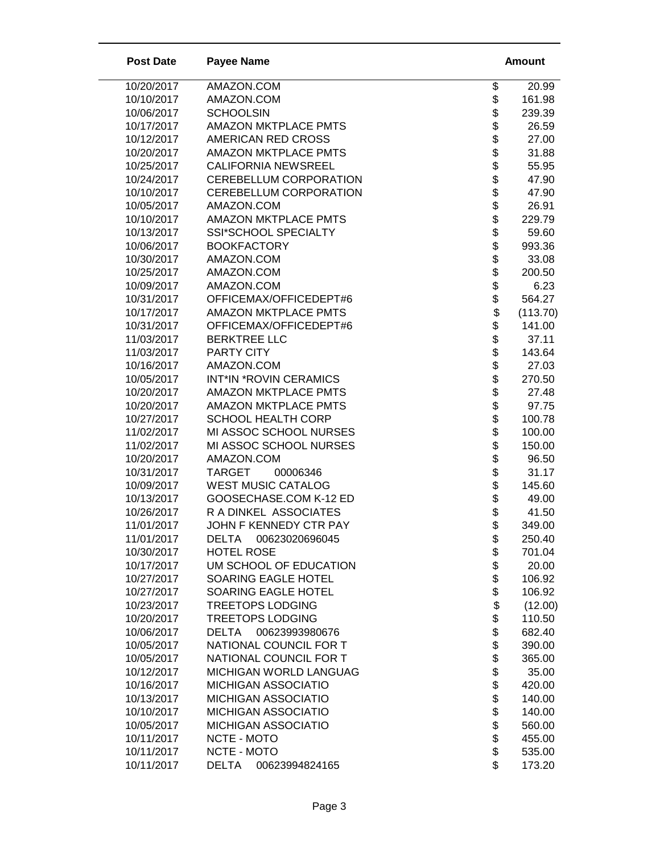| <b>Post Date</b>         | <b>Payee Name</b>                                 |                            | <b>Amount</b>    |
|--------------------------|---------------------------------------------------|----------------------------|------------------|
| 10/20/2017               | AMAZON.COM                                        | \$                         | 20.99            |
| 10/10/2017               | AMAZON.COM                                        | \$                         | 161.98           |
| 10/06/2017               | <b>SCHOOLSIN</b>                                  |                            | 239.39           |
| 10/17/2017               | <b>AMAZON MKTPLACE PMTS</b>                       |                            | 26.59            |
| 10/12/2017               | AMERICAN RED CROSS                                |                            | 27.00            |
| 10/20/2017               | <b>AMAZON MKTPLACE PMTS</b>                       |                            | 31.88            |
| 10/25/2017               | <b>CALIFORNIA NEWSREEL</b>                        |                            | 55.95            |
| 10/24/2017               | CEREBELLUM CORPORATION                            |                            | 47.90            |
| 10/10/2017               | CEREBELLUM CORPORATION                            |                            | 47.90            |
| 10/05/2017               | AMAZON.COM                                        | \$\$\$\$\$\$\$\$\$\$       | 26.91            |
| 10/10/2017               | <b>AMAZON MKTPLACE PMTS</b>                       |                            | 229.79           |
| 10/13/2017               | SSI*SCHOOL SPECIALTY                              | \$                         | 59.60            |
| 10/06/2017               | <b>BOOKFACTORY</b>                                | \$                         | 993.36           |
| 10/30/2017               | AMAZON.COM                                        |                            | 33.08            |
| 10/25/2017               | AMAZON.COM                                        |                            | 200.50           |
| 10/09/2017               | AMAZON.COM                                        |                            | 6.23             |
| 10/31/2017               | OFFICEMAX/OFFICEDEPT#6                            |                            | 564.27           |
| 10/17/2017               | <b>AMAZON MKTPLACE PMTS</b>                       |                            | (113.70)         |
| 10/31/2017               | OFFICEMAX/OFFICEDEPT#6                            |                            | 141.00           |
| 11/03/2017               | <b>BERKTREE LLC</b>                               | \$\$\$\$\$\$\$\$\$\$\$\$\$ | 37.11            |
| 11/03/2017               | PARTY CITY                                        |                            | 143.64           |
| 10/16/2017               | AMAZON.COM                                        |                            | 27.03            |
| 10/05/2017               | <b>INT*IN *ROVIN CERAMICS</b>                     |                            | 270.50           |
| 10/20/2017               | <b>AMAZON MKTPLACE PMTS</b>                       |                            | 27.48            |
| 10/20/2017               | <b>AMAZON MKTPLACE PMTS</b>                       |                            | 97.75            |
| 10/27/2017               | <b>SCHOOL HEALTH CORP</b>                         | \$                         | 100.78           |
| 11/02/2017               | MI ASSOC SCHOOL NURSES                            | \$                         | 100.00           |
| 11/02/2017               | MI ASSOC SCHOOL NURSES                            | \$                         | 150.00           |
| 10/20/2017               | AMAZON.COM                                        | \$                         | 96.50            |
| 10/31/2017               | <b>TARGET</b><br>00006346                         | \$\$\$                     | 31.17            |
| 10/09/2017               | <b>WEST MUSIC CATALOG</b>                         |                            | 145.60           |
| 10/13/2017               | GOOSECHASE.COM K-12 ED                            |                            | 49.00            |
| 10/26/2017               | R A DINKEL ASSOCIATES                             |                            | 41.50            |
| 11/01/2017               | JOHN F KENNEDY CTR PAY                            | \$                         | 349.00           |
| 11/01/2017               | <b>DELTA</b><br>00623020696045                    | \$                         | 250.40           |
| 10/30/2017               | <b>HOTEL ROSE</b>                                 |                            | 701.04           |
| 10/17/2017               | UM SCHOOL OF EDUCATION                            |                            | 20.00            |
| 10/27/2017               | SOARING EAGLE HOTEL                               | \$\$\$                     | 106.92           |
| 10/27/2017               | SOARING EAGLE HOTEL                               |                            | 106.92           |
| 10/23/2017               | <b>TREETOPS LODGING</b>                           | \$                         | (12.00)          |
| 10/20/2017               | <b>TREETOPS LODGING</b>                           | \$                         | 110.50           |
| 10/06/2017               | 00623993980676<br>DELTA<br>NATIONAL COUNCIL FOR T | \$                         | 682.40           |
| 10/05/2017               |                                                   | \$                         | 390.00           |
| 10/05/2017<br>10/12/2017 | NATIONAL COUNCIL FOR T<br>MICHIGAN WORLD LANGUAG  | \$                         | 365.00<br>35.00  |
| 10/16/2017               | MICHIGAN ASSOCIATIO                               | \$<br>\$                   |                  |
|                          | MICHIGAN ASSOCIATIO                               |                            | 420.00           |
| 10/13/2017<br>10/10/2017 | MICHIGAN ASSOCIATIO                               |                            | 140.00           |
| 10/05/2017               | MICHIGAN ASSOCIATIO                               | \$\$\$                     | 140.00<br>560.00 |
| 10/11/2017               | NCTE - MOTO                                       |                            | 455.00           |
| 10/11/2017               | NCTE - MOTO                                       | \$                         | 535.00           |
| 10/11/2017               | <b>DELTA</b><br>00623994824165                    | \$                         | 173.20           |
|                          |                                                   |                            |                  |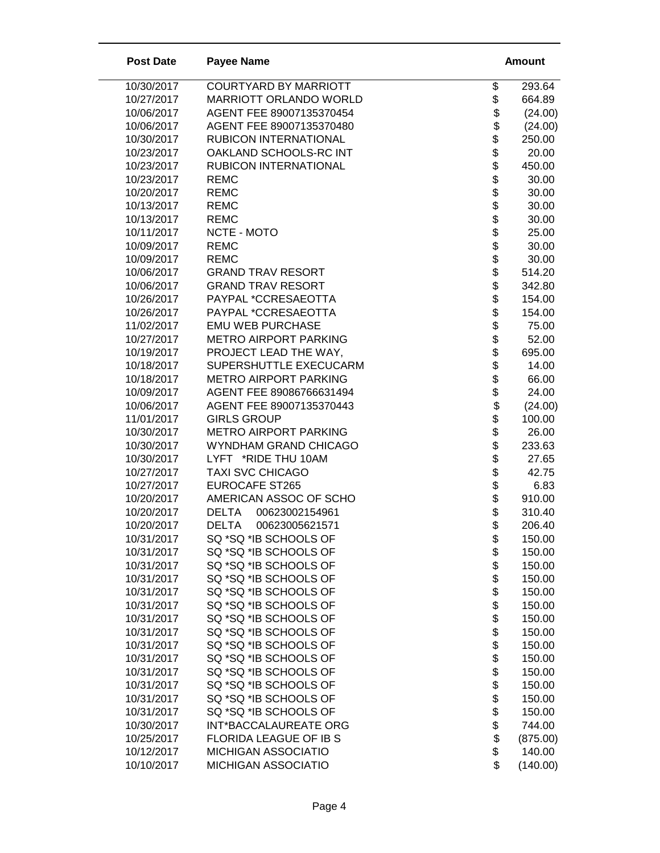| <b>Post Date</b>         | <b>Payee Name</b>                            |                                  | Amount          |
|--------------------------|----------------------------------------------|----------------------------------|-----------------|
| 10/30/2017               | <b>COURTYARD BY MARRIOTT</b>                 | \$                               | 293.64          |
| 10/27/2017               | MARRIOTT ORLANDO WORLD                       | \$                               | 664.89          |
| 10/06/2017               | AGENT FEE 89007135370454                     |                                  | (24.00)         |
| 10/06/2017               | AGENT FEE 89007135370480                     |                                  | (24.00)         |
| 10/30/2017               | RUBICON INTERNATIONAL                        |                                  | 250.00          |
| 10/23/2017               | OAKLAND SCHOOLS-RC INT                       |                                  | 20.00           |
| 10/23/2017               | RUBICON INTERNATIONAL                        |                                  | 450.00          |
| 10/23/2017               | <b>REMC</b>                                  |                                  | 30.00           |
| 10/20/2017               | <b>REMC</b>                                  |                                  | 30.00           |
| 10/13/2017               | <b>REMC</b>                                  |                                  | 30.00           |
| 10/13/2017               | <b>REMC</b>                                  |                                  | 30.00           |
| 10/11/2017               | NCTE - MOTO                                  |                                  | 25.00           |
| 10/09/2017               | <b>REMC</b>                                  |                                  | 30.00           |
| 10/09/2017               | <b>REMC</b>                                  |                                  | 30.00           |
| 10/06/2017               | <b>GRAND TRAV RESORT</b>                     | \$                               | 514.20          |
| 10/06/2017               | <b>GRAND TRAV RESORT</b>                     |                                  | 342.80          |
| 10/26/2017               | PAYPAL *CCRESAEOTTA                          |                                  | 154.00          |
| 10/26/2017               | PAYPAL *CCRESAEOTTA                          |                                  | 154.00          |
| 11/02/2017               | <b>EMU WEB PURCHASE</b>                      |                                  | 75.00           |
| 10/27/2017               | <b>METRO AIRPORT PARKING</b>                 |                                  | 52.00           |
| 10/19/2017               | PROJECT LEAD THE WAY,                        |                                  | 695.00          |
| 10/18/2017               | SUPERSHUTTLE EXECUCARM                       |                                  | 14.00           |
| 10/18/2017               | <b>METRO AIRPORT PARKING</b>                 |                                  | 66.00           |
| 10/09/2017               | AGENT FEE 89086766631494                     |                                  | 24.00           |
| 10/06/2017               | AGENT FEE 89007135370443                     |                                  | (24.00)         |
| 11/01/2017               | <b>GIRLS GROUP</b>                           | \$\$\$\$\$\$\$\$\$\$\$\$\$\$\$\$ | 100.00          |
| 10/30/2017               | <b>METRO AIRPORT PARKING</b>                 |                                  | 26.00           |
| 10/30/2017<br>10/30/2017 | WYNDHAM GRAND CHICAGO<br>LYFT *RIDE THU 10AM |                                  | 233.63<br>27.65 |
| 10/27/2017               | <b>TAXI SVC CHICAGO</b>                      | \$                               | 42.75           |
| 10/27/2017               | <b>EUROCAFE ST265</b>                        | \$                               | 6.83            |
| 10/20/2017               | AMERICAN ASSOC OF SCHO                       |                                  | 910.00          |
| 10/20/2017               | 00623002154961<br><b>DELTA</b>               | \$                               | 310.40          |
| 10/20/2017               | <b>DELTA</b><br>00623005621571               | \$                               | 206.40          |
| 10/31/2017               | SQ *SQ *IB SCHOOLS OF                        |                                  | 150.00          |
| 10/31/2017               | SQ *SQ *IB SCHOOLS OF                        | φ                                | 150.00          |
| 10/31/2017               | SQ *SQ *IB SCHOOLS OF                        |                                  | 150.00          |
| 10/31/2017               | SQ *SQ *IB SCHOOLS OF                        |                                  | 150.00          |
| 10/31/2017               | SQ *SQ *IB SCHOOLS OF                        |                                  | 150.00          |
| 10/31/2017               | SQ *SQ *IB SCHOOLS OF                        |                                  | 150.00          |
| 10/31/2017               | SQ *SQ *IB SCHOOLS OF                        |                                  | 150.00          |
| 10/31/2017               | SQ *SQ *IB SCHOOLS OF                        |                                  | 150.00          |
| 10/31/2017               | SQ *SQ *IB SCHOOLS OF                        |                                  | 150.00          |
| 10/31/2017               | SQ *SQ *IB SCHOOLS OF                        |                                  | 150.00          |
| 10/31/2017               | SQ *SQ *IB SCHOOLS OF                        |                                  | 150.00          |
| 10/31/2017               | SQ *SQ *IB SCHOOLS OF                        | \$\$\$\$\$\$\$\$\$\$\$\$\$       | 150.00          |
| 10/31/2017               | SQ *SQ *IB SCHOOLS OF                        |                                  | 150.00          |
| 10/31/2017               | SQ *SQ *IB SCHOOLS OF                        | \$                               | 150.00          |
| 10/30/2017               | INT*BACCALAUREATE ORG                        |                                  | 744.00          |
| 10/25/2017               | FLORIDA LEAGUE OF IB S                       | \$\$                             | (875.00)        |
| 10/12/2017               | <b>MICHIGAN ASSOCIATIO</b>                   |                                  | 140.00          |
| 10/10/2017               | MICHIGAN ASSOCIATIO                          | \$                               | (140.00)        |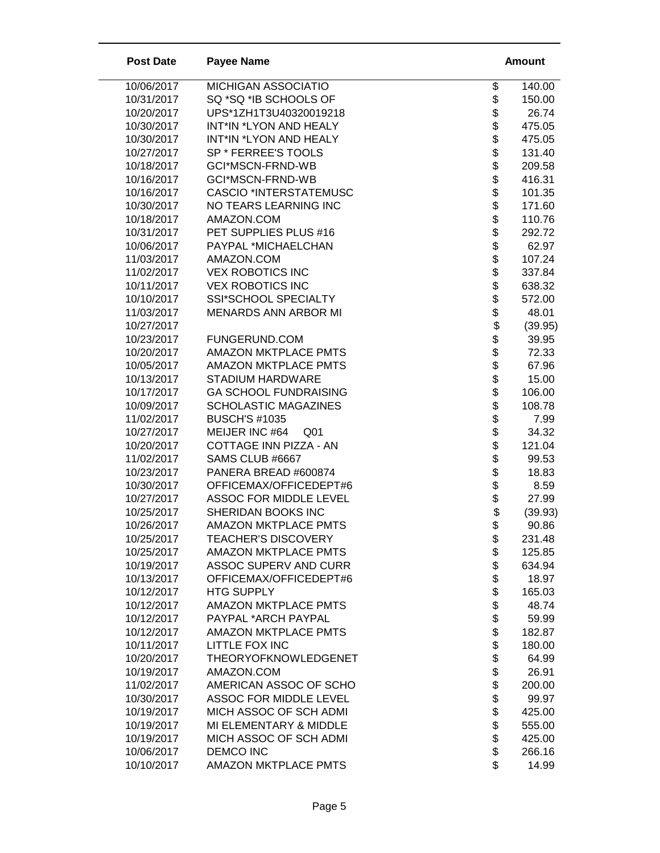| <b>Post Date</b>         | <b>Payee Name</b>                              | <b>Amount</b>                                    |
|--------------------------|------------------------------------------------|--------------------------------------------------|
| 10/06/2017               | MICHIGAN ASSOCIATIO                            | \$<br>140.00                                     |
| 10/31/2017               | SQ *SQ *IB SCHOOLS OF                          | \$<br>150.00                                     |
| 10/20/2017               | UPS*1ZH1T3U40320019218                         | 26.74                                            |
| 10/30/2017               | INT*IN *LYON AND HEALY                         | 475.05                                           |
| 10/30/2017               | INT*IN *LYON AND HEALY                         | <b>a a a a a a a a a a</b><br>475.05             |
| 10/27/2017               | SP * FERREE'S TOOLS                            | 131.40                                           |
| 10/18/2017               | GCI*MSCN-FRND-WB                               | 209.58                                           |
| 10/16/2017               | GCI*MSCN-FRND-WB                               | 416.31                                           |
| 10/16/2017               | <b>CASCIO *INTERSTATEMUSC</b>                  | 101.35                                           |
| 10/30/2017               | NO TEARS LEARNING INC                          | 171.60                                           |
| 10/18/2017               | AMAZON.COM                                     | 110.76                                           |
| 10/31/2017               | PET SUPPLIES PLUS #16                          | 292.72                                           |
| 10/06/2017               | PAYPAL *MICHAELCHAN                            | 62.97                                            |
| 11/03/2017               | AMAZON.COM                                     | 107.24                                           |
| 11/02/2017               | <b>VEX ROBOTICS INC</b>                        | 337.84                                           |
| 10/11/2017               | <b>VEX ROBOTICS INC</b>                        | 638.32                                           |
| 10/10/2017               | SSI*SCHOOL SPECIALTY                           | 572.00                                           |
| 11/03/2017               | <b>MENARDS ANN ARBOR MI</b>                    | 48.01                                            |
| 10/27/2017               |                                                | (39.95)                                          |
| 10/23/2017               | FUNGERUND.COM                                  | 39.95                                            |
| 10/20/2017               | <b>AMAZON MKTPLACE PMTS</b>                    | 72.33                                            |
| 10/05/2017               | <b>AMAZON MKTPLACE PMTS</b>                    | 67.96                                            |
| 10/13/2017               | <b>STADIUM HARDWARE</b>                        | 15.00                                            |
| 10/17/2017               | <b>GA SCHOOL FUNDRAISING</b>                   | 106.00                                           |
| 10/09/2017               | <b>SCHOLASTIC MAGAZINES</b>                    | 108.78                                           |
| 11/02/2017               | <b>BUSCH'S #1035</b>                           | \$\$\$\$\$\$\$\$\$\$\$\$\$\$\$\$\$\$\$\$<br>7.99 |
| 10/27/2017               | MEIJER INC #64<br>Q <sub>01</sub>              | 34.32                                            |
| 10/20/2017               | COTTAGE INN PIZZA - AN                         | 121.04                                           |
| 11/02/2017<br>10/23/2017 | SAMS CLUB #6667                                | \$\$\$\$\$<br>99.53                              |
| 10/30/2017               | PANERA BREAD #600874<br>OFFICEMAX/OFFICEDEPT#6 | 18.83<br>8.59                                    |
| 10/27/2017               | <b>ASSOC FOR MIDDLE LEVEL</b>                  | 27.99                                            |
| 10/25/2017               | SHERIDAN BOOKS INC                             | (39.93)                                          |
| 10/26/2017               | <b>AMAZON MKTPLACE PMTS</b>                    | \$<br>90.86                                      |
| 10/25/2017               | <b>TEACHER'S DISCOVERY</b>                     | 231.48                                           |
| 10/25/2017               | <b>AMAZON MKTPLACE PMTS</b>                    | \$<br>125.85                                     |
| 10/19/2017               | ASSOC SUPERV AND CURR                          | 634.94                                           |
| 10/13/2017               | OFFICEMAX/OFFICEDEPT#6                         | 18.97                                            |
| 10/12/2017               | <b>HTG SUPPLY</b>                              | \$\$\$\$\$\$\$\$\$\$<br>165.03                   |
| 10/12/2017               | <b>AMAZON MKTPLACE PMTS</b>                    | 48.74                                            |
| 10/12/2017               | PAYPAL *ARCH PAYPAL                            | 59.99                                            |
| 10/12/2017               | <b>AMAZON MKTPLACE PMTS</b>                    | 182.87                                           |
| 10/11/2017               | LITTLE FOX INC                                 | 180.00                                           |
| 10/20/2017               | <b>THEORYOFKNOWLEDGENET</b>                    | 64.99                                            |
| 10/19/2017               | AMAZON.COM                                     | 26.91                                            |
| 11/02/2017               | AMERICAN ASSOC OF SCHO                         | 200.00                                           |
| 10/30/2017               | <b>ASSOC FOR MIDDLE LEVEL</b>                  | \$\$\$\$\$\$\$<br>99.97                          |
| 10/19/2017               | MICH ASSOC OF SCH ADMI                         | 425.00                                           |
| 10/19/2017               | MI ELEMENTARY & MIDDLE                         | 555.00                                           |
| 10/19/2017               | MICH ASSOC OF SCH ADMI                         | 425.00                                           |
| 10/06/2017               | <b>DEMCO INC</b>                               | 266.16                                           |
| 10/10/2017               | <b>AMAZON MKTPLACE PMTS</b>                    | \$<br>14.99                                      |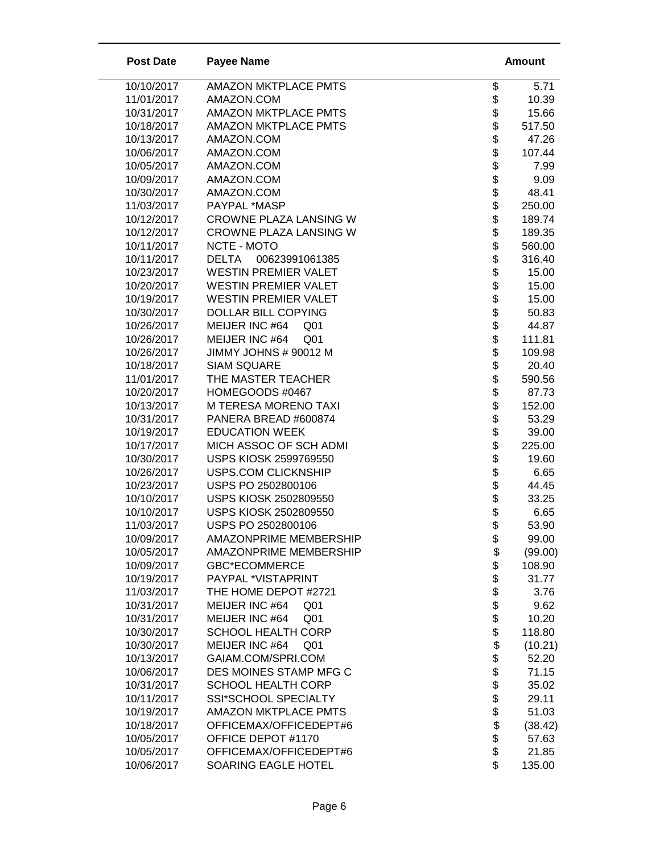| <b>AMAZON MKTPLACE PMTS</b><br>10/10/2017<br>\$<br>5.71<br>\$<br>11/01/2017<br>AMAZON.COM<br>10.39<br>\$\$<br>10/31/2017<br><b>AMAZON MKTPLACE PMTS</b><br>15.66<br><b>AMAZON MKTPLACE PMTS</b><br>10/18/2017<br>517.50<br>10/13/2017<br>AMAZON.COM<br>47.26<br>\$\$\$\$\$<br>10/06/2017<br>AMAZON.COM<br>107.44<br>10/05/2017<br>AMAZON.COM<br>7.99<br>AMAZON.COM<br>9.09<br>10/09/2017<br>AMAZON.COM<br>48.41<br>10/30/2017<br>11/03/2017<br>PAYPAL *MASP<br>250.00<br>\$<br>10/12/2017<br>CROWNE PLAZA LANSING W<br>189.74<br>\$<br>10/12/2017<br>CROWNE PLAZA LANSING W<br>189.35<br><b>8888888888</b><br>10/11/2017<br>NCTE - MOTO<br>560.00<br>10/11/2017<br>00623991061385<br><b>DELTA</b><br>316.40<br>10/23/2017<br><b>WESTIN PREMIER VALET</b><br>15.00<br>10/20/2017<br><b>WESTIN PREMIER VALET</b><br>15.00<br>10/19/2017<br><b>WESTIN PREMIER VALET</b><br>15.00<br>10/30/2017<br><b>DOLLAR BILL COPYING</b><br>50.83<br>10/26/2017<br>MEIJER INC #64<br>44.87<br>Q <sub>01</sub><br>10/26/2017<br>MEIJER INC #64<br>Q <sub>01</sub><br>111.81<br>JIMMY JOHNS # 90012 M<br>109.98<br>10/26/2017<br>10/18/2017<br><b>SIAM SQUARE</b><br>20.40<br>\$<br>11/01/2017<br>THE MASTER TEACHER<br>590.56<br>\$<br>HOMEGOODS #0467<br>87.73<br>10/20/2017<br>\$<br>M TERESA MORENO TAXI<br>10/13/2017<br>152.00<br>\$<br>10/31/2017<br>PANERA BREAD #600874<br>53.29<br>\$<br><b>EDUCATION WEEK</b><br>10/19/2017<br>39.00<br>\$<br>10/17/2017<br>MICH ASSOC OF SCH ADMI<br>225.00<br>\$\$\$\$\$<br>10/30/2017<br><b>USPS KIOSK 2599769550</b><br>19.60<br>10/26/2017<br><b>USPS.COM CLICKNSHIP</b><br>6.65<br>10/23/2017<br>USPS PO 2502800106<br>44.45<br>10/10/2017<br>USPS KIOSK 2502809550<br>33.25<br><b>USPS KIOSK 2502809550</b><br>10/10/2017<br>6.65<br>\$<br>11/03/2017<br>USPS PO 2502800106<br>53.90<br>10/09/2017<br>AMAZONPRIME MEMBERSHIP<br>\$<br>99.00<br>\$\$\$\$\$\$\$\$<br>10/05/2017<br>AMAZONPRIME MEMBERSHIP<br>(99.00)<br><b>GBC*ECOMMERCE</b><br>108.90<br>10/09/2017<br>PAYPAL *VISTAPRINT<br>31.77<br>10/19/2017<br>11/03/2017<br>THE HOME DEPOT #2721<br>3.76<br>10/31/2017<br>MEIJER INC #64<br>9.62<br>Q <sub>01</sub><br>10/31/2017<br>MEIJER INC #64<br>Q01<br>10.20<br>118.80<br>10/30/2017<br><b>SCHOOL HEALTH CORP</b><br>\$<br>10/30/2017<br>MEIJER INC #64<br>(10.21)<br>Q <sub>01</sub><br><b>8888888</b><br>10/13/2017<br>GAIAM.COM/SPRI.COM<br>52.20<br>10/06/2017<br>DES MOINES STAMP MFG C<br>71.15<br>10/31/2017<br><b>SCHOOL HEALTH CORP</b><br>35.02<br>10/11/2017<br>SSI*SCHOOL SPECIALTY<br>29.11<br>10/19/2017<br><b>AMAZON MKTPLACE PMTS</b><br>51.03<br>10/18/2017<br>OFFICEMAX/OFFICEDEPT#6<br>(38.42)<br>10/05/2017<br>OFFICE DEPOT #1170<br>57.63<br>10/05/2017<br>OFFICEMAX/OFFICEDEPT#6<br>21.85<br>\$<br>10/06/2017<br>SOARING EAGLE HOTEL<br>135.00 | <b>Post Date</b> | <b>Payee Name</b> | <b>Amount</b> |
|-------------------------------------------------------------------------------------------------------------------------------------------------------------------------------------------------------------------------------------------------------------------------------------------------------------------------------------------------------------------------------------------------------------------------------------------------------------------------------------------------------------------------------------------------------------------------------------------------------------------------------------------------------------------------------------------------------------------------------------------------------------------------------------------------------------------------------------------------------------------------------------------------------------------------------------------------------------------------------------------------------------------------------------------------------------------------------------------------------------------------------------------------------------------------------------------------------------------------------------------------------------------------------------------------------------------------------------------------------------------------------------------------------------------------------------------------------------------------------------------------------------------------------------------------------------------------------------------------------------------------------------------------------------------------------------------------------------------------------------------------------------------------------------------------------------------------------------------------------------------------------------------------------------------------------------------------------------------------------------------------------------------------------------------------------------------------------------------------------------------------------------------------------------------------------------------------------------------------------------------------------------------------------------------------------------------------------------------------------------------------------------------------------------------------------------------------------------------------------------------------------------------------------------------------------------------------------------------------------------------------------------------------------------------------------------------------------------------------------------------------------------------------------------------------------------------|------------------|-------------------|---------------|
|                                                                                                                                                                                                                                                                                                                                                                                                                                                                                                                                                                                                                                                                                                                                                                                                                                                                                                                                                                                                                                                                                                                                                                                                                                                                                                                                                                                                                                                                                                                                                                                                                                                                                                                                                                                                                                                                                                                                                                                                                                                                                                                                                                                                                                                                                                                                                                                                                                                                                                                                                                                                                                                                                                                                                                                                                   |                  |                   |               |
|                                                                                                                                                                                                                                                                                                                                                                                                                                                                                                                                                                                                                                                                                                                                                                                                                                                                                                                                                                                                                                                                                                                                                                                                                                                                                                                                                                                                                                                                                                                                                                                                                                                                                                                                                                                                                                                                                                                                                                                                                                                                                                                                                                                                                                                                                                                                                                                                                                                                                                                                                                                                                                                                                                                                                                                                                   |                  |                   |               |
|                                                                                                                                                                                                                                                                                                                                                                                                                                                                                                                                                                                                                                                                                                                                                                                                                                                                                                                                                                                                                                                                                                                                                                                                                                                                                                                                                                                                                                                                                                                                                                                                                                                                                                                                                                                                                                                                                                                                                                                                                                                                                                                                                                                                                                                                                                                                                                                                                                                                                                                                                                                                                                                                                                                                                                                                                   |                  |                   |               |
|                                                                                                                                                                                                                                                                                                                                                                                                                                                                                                                                                                                                                                                                                                                                                                                                                                                                                                                                                                                                                                                                                                                                                                                                                                                                                                                                                                                                                                                                                                                                                                                                                                                                                                                                                                                                                                                                                                                                                                                                                                                                                                                                                                                                                                                                                                                                                                                                                                                                                                                                                                                                                                                                                                                                                                                                                   |                  |                   |               |
|                                                                                                                                                                                                                                                                                                                                                                                                                                                                                                                                                                                                                                                                                                                                                                                                                                                                                                                                                                                                                                                                                                                                                                                                                                                                                                                                                                                                                                                                                                                                                                                                                                                                                                                                                                                                                                                                                                                                                                                                                                                                                                                                                                                                                                                                                                                                                                                                                                                                                                                                                                                                                                                                                                                                                                                                                   |                  |                   |               |
|                                                                                                                                                                                                                                                                                                                                                                                                                                                                                                                                                                                                                                                                                                                                                                                                                                                                                                                                                                                                                                                                                                                                                                                                                                                                                                                                                                                                                                                                                                                                                                                                                                                                                                                                                                                                                                                                                                                                                                                                                                                                                                                                                                                                                                                                                                                                                                                                                                                                                                                                                                                                                                                                                                                                                                                                                   |                  |                   |               |
|                                                                                                                                                                                                                                                                                                                                                                                                                                                                                                                                                                                                                                                                                                                                                                                                                                                                                                                                                                                                                                                                                                                                                                                                                                                                                                                                                                                                                                                                                                                                                                                                                                                                                                                                                                                                                                                                                                                                                                                                                                                                                                                                                                                                                                                                                                                                                                                                                                                                                                                                                                                                                                                                                                                                                                                                                   |                  |                   |               |
|                                                                                                                                                                                                                                                                                                                                                                                                                                                                                                                                                                                                                                                                                                                                                                                                                                                                                                                                                                                                                                                                                                                                                                                                                                                                                                                                                                                                                                                                                                                                                                                                                                                                                                                                                                                                                                                                                                                                                                                                                                                                                                                                                                                                                                                                                                                                                                                                                                                                                                                                                                                                                                                                                                                                                                                                                   |                  |                   |               |
|                                                                                                                                                                                                                                                                                                                                                                                                                                                                                                                                                                                                                                                                                                                                                                                                                                                                                                                                                                                                                                                                                                                                                                                                                                                                                                                                                                                                                                                                                                                                                                                                                                                                                                                                                                                                                                                                                                                                                                                                                                                                                                                                                                                                                                                                                                                                                                                                                                                                                                                                                                                                                                                                                                                                                                                                                   |                  |                   |               |
|                                                                                                                                                                                                                                                                                                                                                                                                                                                                                                                                                                                                                                                                                                                                                                                                                                                                                                                                                                                                                                                                                                                                                                                                                                                                                                                                                                                                                                                                                                                                                                                                                                                                                                                                                                                                                                                                                                                                                                                                                                                                                                                                                                                                                                                                                                                                                                                                                                                                                                                                                                                                                                                                                                                                                                                                                   |                  |                   |               |
|                                                                                                                                                                                                                                                                                                                                                                                                                                                                                                                                                                                                                                                                                                                                                                                                                                                                                                                                                                                                                                                                                                                                                                                                                                                                                                                                                                                                                                                                                                                                                                                                                                                                                                                                                                                                                                                                                                                                                                                                                                                                                                                                                                                                                                                                                                                                                                                                                                                                                                                                                                                                                                                                                                                                                                                                                   |                  |                   |               |
|                                                                                                                                                                                                                                                                                                                                                                                                                                                                                                                                                                                                                                                                                                                                                                                                                                                                                                                                                                                                                                                                                                                                                                                                                                                                                                                                                                                                                                                                                                                                                                                                                                                                                                                                                                                                                                                                                                                                                                                                                                                                                                                                                                                                                                                                                                                                                                                                                                                                                                                                                                                                                                                                                                                                                                                                                   |                  |                   |               |
|                                                                                                                                                                                                                                                                                                                                                                                                                                                                                                                                                                                                                                                                                                                                                                                                                                                                                                                                                                                                                                                                                                                                                                                                                                                                                                                                                                                                                                                                                                                                                                                                                                                                                                                                                                                                                                                                                                                                                                                                                                                                                                                                                                                                                                                                                                                                                                                                                                                                                                                                                                                                                                                                                                                                                                                                                   |                  |                   |               |
|                                                                                                                                                                                                                                                                                                                                                                                                                                                                                                                                                                                                                                                                                                                                                                                                                                                                                                                                                                                                                                                                                                                                                                                                                                                                                                                                                                                                                                                                                                                                                                                                                                                                                                                                                                                                                                                                                                                                                                                                                                                                                                                                                                                                                                                                                                                                                                                                                                                                                                                                                                                                                                                                                                                                                                                                                   |                  |                   |               |
|                                                                                                                                                                                                                                                                                                                                                                                                                                                                                                                                                                                                                                                                                                                                                                                                                                                                                                                                                                                                                                                                                                                                                                                                                                                                                                                                                                                                                                                                                                                                                                                                                                                                                                                                                                                                                                                                                                                                                                                                                                                                                                                                                                                                                                                                                                                                                                                                                                                                                                                                                                                                                                                                                                                                                                                                                   |                  |                   |               |
|                                                                                                                                                                                                                                                                                                                                                                                                                                                                                                                                                                                                                                                                                                                                                                                                                                                                                                                                                                                                                                                                                                                                                                                                                                                                                                                                                                                                                                                                                                                                                                                                                                                                                                                                                                                                                                                                                                                                                                                                                                                                                                                                                                                                                                                                                                                                                                                                                                                                                                                                                                                                                                                                                                                                                                                                                   |                  |                   |               |
|                                                                                                                                                                                                                                                                                                                                                                                                                                                                                                                                                                                                                                                                                                                                                                                                                                                                                                                                                                                                                                                                                                                                                                                                                                                                                                                                                                                                                                                                                                                                                                                                                                                                                                                                                                                                                                                                                                                                                                                                                                                                                                                                                                                                                                                                                                                                                                                                                                                                                                                                                                                                                                                                                                                                                                                                                   |                  |                   |               |
|                                                                                                                                                                                                                                                                                                                                                                                                                                                                                                                                                                                                                                                                                                                                                                                                                                                                                                                                                                                                                                                                                                                                                                                                                                                                                                                                                                                                                                                                                                                                                                                                                                                                                                                                                                                                                                                                                                                                                                                                                                                                                                                                                                                                                                                                                                                                                                                                                                                                                                                                                                                                                                                                                                                                                                                                                   |                  |                   |               |
|                                                                                                                                                                                                                                                                                                                                                                                                                                                                                                                                                                                                                                                                                                                                                                                                                                                                                                                                                                                                                                                                                                                                                                                                                                                                                                                                                                                                                                                                                                                                                                                                                                                                                                                                                                                                                                                                                                                                                                                                                                                                                                                                                                                                                                                                                                                                                                                                                                                                                                                                                                                                                                                                                                                                                                                                                   |                  |                   |               |
|                                                                                                                                                                                                                                                                                                                                                                                                                                                                                                                                                                                                                                                                                                                                                                                                                                                                                                                                                                                                                                                                                                                                                                                                                                                                                                                                                                                                                                                                                                                                                                                                                                                                                                                                                                                                                                                                                                                                                                                                                                                                                                                                                                                                                                                                                                                                                                                                                                                                                                                                                                                                                                                                                                                                                                                                                   |                  |                   |               |
|                                                                                                                                                                                                                                                                                                                                                                                                                                                                                                                                                                                                                                                                                                                                                                                                                                                                                                                                                                                                                                                                                                                                                                                                                                                                                                                                                                                                                                                                                                                                                                                                                                                                                                                                                                                                                                                                                                                                                                                                                                                                                                                                                                                                                                                                                                                                                                                                                                                                                                                                                                                                                                                                                                                                                                                                                   |                  |                   |               |
|                                                                                                                                                                                                                                                                                                                                                                                                                                                                                                                                                                                                                                                                                                                                                                                                                                                                                                                                                                                                                                                                                                                                                                                                                                                                                                                                                                                                                                                                                                                                                                                                                                                                                                                                                                                                                                                                                                                                                                                                                                                                                                                                                                                                                                                                                                                                                                                                                                                                                                                                                                                                                                                                                                                                                                                                                   |                  |                   |               |
|                                                                                                                                                                                                                                                                                                                                                                                                                                                                                                                                                                                                                                                                                                                                                                                                                                                                                                                                                                                                                                                                                                                                                                                                                                                                                                                                                                                                                                                                                                                                                                                                                                                                                                                                                                                                                                                                                                                                                                                                                                                                                                                                                                                                                                                                                                                                                                                                                                                                                                                                                                                                                                                                                                                                                                                                                   |                  |                   |               |
|                                                                                                                                                                                                                                                                                                                                                                                                                                                                                                                                                                                                                                                                                                                                                                                                                                                                                                                                                                                                                                                                                                                                                                                                                                                                                                                                                                                                                                                                                                                                                                                                                                                                                                                                                                                                                                                                                                                                                                                                                                                                                                                                                                                                                                                                                                                                                                                                                                                                                                                                                                                                                                                                                                                                                                                                                   |                  |                   |               |
|                                                                                                                                                                                                                                                                                                                                                                                                                                                                                                                                                                                                                                                                                                                                                                                                                                                                                                                                                                                                                                                                                                                                                                                                                                                                                                                                                                                                                                                                                                                                                                                                                                                                                                                                                                                                                                                                                                                                                                                                                                                                                                                                                                                                                                                                                                                                                                                                                                                                                                                                                                                                                                                                                                                                                                                                                   |                  |                   |               |
|                                                                                                                                                                                                                                                                                                                                                                                                                                                                                                                                                                                                                                                                                                                                                                                                                                                                                                                                                                                                                                                                                                                                                                                                                                                                                                                                                                                                                                                                                                                                                                                                                                                                                                                                                                                                                                                                                                                                                                                                                                                                                                                                                                                                                                                                                                                                                                                                                                                                                                                                                                                                                                                                                                                                                                                                                   |                  |                   |               |
|                                                                                                                                                                                                                                                                                                                                                                                                                                                                                                                                                                                                                                                                                                                                                                                                                                                                                                                                                                                                                                                                                                                                                                                                                                                                                                                                                                                                                                                                                                                                                                                                                                                                                                                                                                                                                                                                                                                                                                                                                                                                                                                                                                                                                                                                                                                                                                                                                                                                                                                                                                                                                                                                                                                                                                                                                   |                  |                   |               |
|                                                                                                                                                                                                                                                                                                                                                                                                                                                                                                                                                                                                                                                                                                                                                                                                                                                                                                                                                                                                                                                                                                                                                                                                                                                                                                                                                                                                                                                                                                                                                                                                                                                                                                                                                                                                                                                                                                                                                                                                                                                                                                                                                                                                                                                                                                                                                                                                                                                                                                                                                                                                                                                                                                                                                                                                                   |                  |                   |               |
|                                                                                                                                                                                                                                                                                                                                                                                                                                                                                                                                                                                                                                                                                                                                                                                                                                                                                                                                                                                                                                                                                                                                                                                                                                                                                                                                                                                                                                                                                                                                                                                                                                                                                                                                                                                                                                                                                                                                                                                                                                                                                                                                                                                                                                                                                                                                                                                                                                                                                                                                                                                                                                                                                                                                                                                                                   |                  |                   |               |
|                                                                                                                                                                                                                                                                                                                                                                                                                                                                                                                                                                                                                                                                                                                                                                                                                                                                                                                                                                                                                                                                                                                                                                                                                                                                                                                                                                                                                                                                                                                                                                                                                                                                                                                                                                                                                                                                                                                                                                                                                                                                                                                                                                                                                                                                                                                                                                                                                                                                                                                                                                                                                                                                                                                                                                                                                   |                  |                   |               |
|                                                                                                                                                                                                                                                                                                                                                                                                                                                                                                                                                                                                                                                                                                                                                                                                                                                                                                                                                                                                                                                                                                                                                                                                                                                                                                                                                                                                                                                                                                                                                                                                                                                                                                                                                                                                                                                                                                                                                                                                                                                                                                                                                                                                                                                                                                                                                                                                                                                                                                                                                                                                                                                                                                                                                                                                                   |                  |                   |               |
|                                                                                                                                                                                                                                                                                                                                                                                                                                                                                                                                                                                                                                                                                                                                                                                                                                                                                                                                                                                                                                                                                                                                                                                                                                                                                                                                                                                                                                                                                                                                                                                                                                                                                                                                                                                                                                                                                                                                                                                                                                                                                                                                                                                                                                                                                                                                                                                                                                                                                                                                                                                                                                                                                                                                                                                                                   |                  |                   |               |
|                                                                                                                                                                                                                                                                                                                                                                                                                                                                                                                                                                                                                                                                                                                                                                                                                                                                                                                                                                                                                                                                                                                                                                                                                                                                                                                                                                                                                                                                                                                                                                                                                                                                                                                                                                                                                                                                                                                                                                                                                                                                                                                                                                                                                                                                                                                                                                                                                                                                                                                                                                                                                                                                                                                                                                                                                   |                  |                   |               |
|                                                                                                                                                                                                                                                                                                                                                                                                                                                                                                                                                                                                                                                                                                                                                                                                                                                                                                                                                                                                                                                                                                                                                                                                                                                                                                                                                                                                                                                                                                                                                                                                                                                                                                                                                                                                                                                                                                                                                                                                                                                                                                                                                                                                                                                                                                                                                                                                                                                                                                                                                                                                                                                                                                                                                                                                                   |                  |                   |               |
|                                                                                                                                                                                                                                                                                                                                                                                                                                                                                                                                                                                                                                                                                                                                                                                                                                                                                                                                                                                                                                                                                                                                                                                                                                                                                                                                                                                                                                                                                                                                                                                                                                                                                                                                                                                                                                                                                                                                                                                                                                                                                                                                                                                                                                                                                                                                                                                                                                                                                                                                                                                                                                                                                                                                                                                                                   |                  |                   |               |
|                                                                                                                                                                                                                                                                                                                                                                                                                                                                                                                                                                                                                                                                                                                                                                                                                                                                                                                                                                                                                                                                                                                                                                                                                                                                                                                                                                                                                                                                                                                                                                                                                                                                                                                                                                                                                                                                                                                                                                                                                                                                                                                                                                                                                                                                                                                                                                                                                                                                                                                                                                                                                                                                                                                                                                                                                   |                  |                   |               |
|                                                                                                                                                                                                                                                                                                                                                                                                                                                                                                                                                                                                                                                                                                                                                                                                                                                                                                                                                                                                                                                                                                                                                                                                                                                                                                                                                                                                                                                                                                                                                                                                                                                                                                                                                                                                                                                                                                                                                                                                                                                                                                                                                                                                                                                                                                                                                                                                                                                                                                                                                                                                                                                                                                                                                                                                                   |                  |                   |               |
|                                                                                                                                                                                                                                                                                                                                                                                                                                                                                                                                                                                                                                                                                                                                                                                                                                                                                                                                                                                                                                                                                                                                                                                                                                                                                                                                                                                                                                                                                                                                                                                                                                                                                                                                                                                                                                                                                                                                                                                                                                                                                                                                                                                                                                                                                                                                                                                                                                                                                                                                                                                                                                                                                                                                                                                                                   |                  |                   |               |
|                                                                                                                                                                                                                                                                                                                                                                                                                                                                                                                                                                                                                                                                                                                                                                                                                                                                                                                                                                                                                                                                                                                                                                                                                                                                                                                                                                                                                                                                                                                                                                                                                                                                                                                                                                                                                                                                                                                                                                                                                                                                                                                                                                                                                                                                                                                                                                                                                                                                                                                                                                                                                                                                                                                                                                                                                   |                  |                   |               |
|                                                                                                                                                                                                                                                                                                                                                                                                                                                                                                                                                                                                                                                                                                                                                                                                                                                                                                                                                                                                                                                                                                                                                                                                                                                                                                                                                                                                                                                                                                                                                                                                                                                                                                                                                                                                                                                                                                                                                                                                                                                                                                                                                                                                                                                                                                                                                                                                                                                                                                                                                                                                                                                                                                                                                                                                                   |                  |                   |               |
|                                                                                                                                                                                                                                                                                                                                                                                                                                                                                                                                                                                                                                                                                                                                                                                                                                                                                                                                                                                                                                                                                                                                                                                                                                                                                                                                                                                                                                                                                                                                                                                                                                                                                                                                                                                                                                                                                                                                                                                                                                                                                                                                                                                                                                                                                                                                                                                                                                                                                                                                                                                                                                                                                                                                                                                                                   |                  |                   |               |
|                                                                                                                                                                                                                                                                                                                                                                                                                                                                                                                                                                                                                                                                                                                                                                                                                                                                                                                                                                                                                                                                                                                                                                                                                                                                                                                                                                                                                                                                                                                                                                                                                                                                                                                                                                                                                                                                                                                                                                                                                                                                                                                                                                                                                                                                                                                                                                                                                                                                                                                                                                                                                                                                                                                                                                                                                   |                  |                   |               |
|                                                                                                                                                                                                                                                                                                                                                                                                                                                                                                                                                                                                                                                                                                                                                                                                                                                                                                                                                                                                                                                                                                                                                                                                                                                                                                                                                                                                                                                                                                                                                                                                                                                                                                                                                                                                                                                                                                                                                                                                                                                                                                                                                                                                                                                                                                                                                                                                                                                                                                                                                                                                                                                                                                                                                                                                                   |                  |                   |               |
|                                                                                                                                                                                                                                                                                                                                                                                                                                                                                                                                                                                                                                                                                                                                                                                                                                                                                                                                                                                                                                                                                                                                                                                                                                                                                                                                                                                                                                                                                                                                                                                                                                                                                                                                                                                                                                                                                                                                                                                                                                                                                                                                                                                                                                                                                                                                                                                                                                                                                                                                                                                                                                                                                                                                                                                                                   |                  |                   |               |
|                                                                                                                                                                                                                                                                                                                                                                                                                                                                                                                                                                                                                                                                                                                                                                                                                                                                                                                                                                                                                                                                                                                                                                                                                                                                                                                                                                                                                                                                                                                                                                                                                                                                                                                                                                                                                                                                                                                                                                                                                                                                                                                                                                                                                                                                                                                                                                                                                                                                                                                                                                                                                                                                                                                                                                                                                   |                  |                   |               |
|                                                                                                                                                                                                                                                                                                                                                                                                                                                                                                                                                                                                                                                                                                                                                                                                                                                                                                                                                                                                                                                                                                                                                                                                                                                                                                                                                                                                                                                                                                                                                                                                                                                                                                                                                                                                                                                                                                                                                                                                                                                                                                                                                                                                                                                                                                                                                                                                                                                                                                                                                                                                                                                                                                                                                                                                                   |                  |                   |               |
|                                                                                                                                                                                                                                                                                                                                                                                                                                                                                                                                                                                                                                                                                                                                                                                                                                                                                                                                                                                                                                                                                                                                                                                                                                                                                                                                                                                                                                                                                                                                                                                                                                                                                                                                                                                                                                                                                                                                                                                                                                                                                                                                                                                                                                                                                                                                                                                                                                                                                                                                                                                                                                                                                                                                                                                                                   |                  |                   |               |
|                                                                                                                                                                                                                                                                                                                                                                                                                                                                                                                                                                                                                                                                                                                                                                                                                                                                                                                                                                                                                                                                                                                                                                                                                                                                                                                                                                                                                                                                                                                                                                                                                                                                                                                                                                                                                                                                                                                                                                                                                                                                                                                                                                                                                                                                                                                                                                                                                                                                                                                                                                                                                                                                                                                                                                                                                   |                  |                   |               |
|                                                                                                                                                                                                                                                                                                                                                                                                                                                                                                                                                                                                                                                                                                                                                                                                                                                                                                                                                                                                                                                                                                                                                                                                                                                                                                                                                                                                                                                                                                                                                                                                                                                                                                                                                                                                                                                                                                                                                                                                                                                                                                                                                                                                                                                                                                                                                                                                                                                                                                                                                                                                                                                                                                                                                                                                                   |                  |                   |               |
|                                                                                                                                                                                                                                                                                                                                                                                                                                                                                                                                                                                                                                                                                                                                                                                                                                                                                                                                                                                                                                                                                                                                                                                                                                                                                                                                                                                                                                                                                                                                                                                                                                                                                                                                                                                                                                                                                                                                                                                                                                                                                                                                                                                                                                                                                                                                                                                                                                                                                                                                                                                                                                                                                                                                                                                                                   |                  |                   |               |
|                                                                                                                                                                                                                                                                                                                                                                                                                                                                                                                                                                                                                                                                                                                                                                                                                                                                                                                                                                                                                                                                                                                                                                                                                                                                                                                                                                                                                                                                                                                                                                                                                                                                                                                                                                                                                                                                                                                                                                                                                                                                                                                                                                                                                                                                                                                                                                                                                                                                                                                                                                                                                                                                                                                                                                                                                   |                  |                   |               |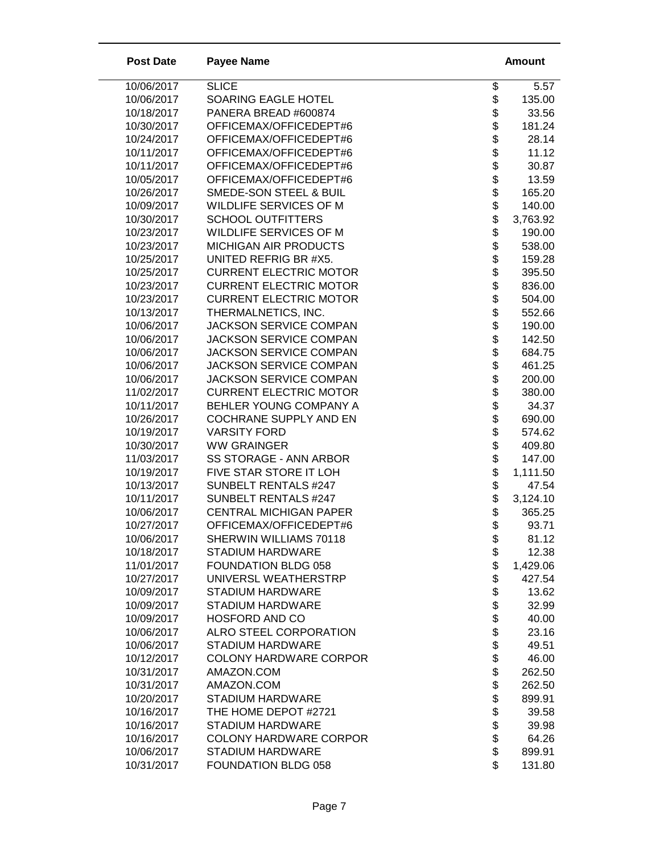| <b>Post Date</b> | <b>Payee Name</b>             |                      | <b>Amount</b> |
|------------------|-------------------------------|----------------------|---------------|
| 10/06/2017       | <b>SLICE</b>                  | \$                   | 5.57          |
| 10/06/2017       | SOARING EAGLE HOTEL           | \$                   | 135.00        |
| 10/18/2017       | PANERA BREAD #600874          | \$                   | 33.56         |
| 10/30/2017       | OFFICEMAX/OFFICEDEPT#6        | \$                   | 181.24        |
| 10/24/2017       | OFFICEMAX/OFFICEDEPT#6        | \$                   | 28.14         |
| 10/11/2017       | OFFICEMAX/OFFICEDEPT#6        |                      | 11.12         |
| 10/11/2017       | OFFICEMAX/OFFICEDEPT#6        | \$\$                 | 30.87         |
| 10/05/2017       | OFFICEMAX/OFFICEDEPT#6        |                      | 13.59         |
| 10/26/2017       | SMEDE-SON STEEL & BUIL        | \$                   | 165.20        |
| 10/09/2017       | <b>WILDLIFE SERVICES OF M</b> | \$                   | 140.00        |
| 10/30/2017       | <b>SCHOOL OUTFITTERS</b>      | \$                   | 3,763.92      |
| 10/23/2017       | WILDLIFE SERVICES OF M        | \$                   | 190.00        |
| 10/23/2017       | <b>MICHIGAN AIR PRODUCTS</b>  |                      | 538.00        |
| 10/25/2017       | UNITED REFRIG BR #X5.         |                      | 159.28        |
| 10/25/2017       | <b>CURRENT ELECTRIC MOTOR</b> |                      | 395.50        |
| 10/23/2017       | <b>CURRENT ELECTRIC MOTOR</b> |                      | 836.00        |
| 10/23/2017       | <b>CURRENT ELECTRIC MOTOR</b> |                      | 504.00        |
| 10/13/2017       | THERMALNETICS, INC.           |                      | 552.66        |
| 10/06/2017       | <b>JACKSON SERVICE COMPAN</b> |                      | 190.00        |
| 10/06/2017       | <b>JACKSON SERVICE COMPAN</b> | \$\$\$\$\$\$\$\$\$\$ | 142.50        |
| 10/06/2017       | <b>JACKSON SERVICE COMPAN</b> |                      | 684.75        |
| 10/06/2017       | <b>JACKSON SERVICE COMPAN</b> | \$                   | 461.25        |
| 10/06/2017       | <b>JACKSON SERVICE COMPAN</b> | \$                   | 200.00        |
| 11/02/2017       | <b>CURRENT ELECTRIC MOTOR</b> | \$                   | 380.00        |
| 10/11/2017       | BEHLER YOUNG COMPANY A        | \$                   | 34.37         |
| 10/26/2017       | <b>COCHRANE SUPPLY AND EN</b> | \$                   | 690.00        |
| 10/19/2017       | <b>VARSITY FORD</b>           | \$                   | 574.62        |
| 10/30/2017       | <b>WW GRAINGER</b>            | \$                   | 409.80        |
| 11/03/2017       | SS STORAGE - ANN ARBOR        | \$\$\$               | 147.00        |
| 10/19/2017       | FIVE STAR STORE IT LOH        |                      | 1,111.50      |
| 10/13/2017       | <b>SUNBELT RENTALS #247</b>   |                      | 47.54         |
| 10/11/2017       | <b>SUNBELT RENTALS #247</b>   |                      | 3,124.10      |
| 10/06/2017       | <b>CENTRAL MICHIGAN PAPER</b> | \$                   | 365.25        |
| 10/27/2017       | OFFICEMAX/OFFICEDEPT#6        | \$                   | 93.71         |
| 10/06/2017       | SHERWIN WILLIAMS 70118        | \$                   | 81.12         |
| 10/18/2017       | STADIUM HARDWARE              |                      | 12.38         |
| 11/01/2017       | FOUNDATION BLDG 058           | \$\$                 | 1,429.06      |
| 10/27/2017       | UNIVERSL WEATHERSTRP          |                      | 427.54        |
| 10/09/2017       | STADIUM HARDWARE              | \$                   | 13.62         |
| 10/09/2017       | STADIUM HARDWARE              |                      | 32.99         |
| 10/09/2017       | <b>HOSFORD AND CO</b>         | \$\$                 | 40.00         |
| 10/06/2017       | <b>ALRO STEEL CORPORATION</b> |                      | 23.16         |
| 10/06/2017       | <b>STADIUM HARDWARE</b>       | \$                   | 49.51         |
| 10/12/2017       | <b>COLONY HARDWARE CORPOR</b> |                      | 46.00         |
| 10/31/2017       | AMAZON.COM                    |                      | 262.50        |
| 10/31/2017       | AMAZON.COM                    | <b>8888888</b>       | 262.50        |
| 10/20/2017       | <b>STADIUM HARDWARE</b>       |                      | 899.91        |
| 10/16/2017       | THE HOME DEPOT #2721          |                      | 39.58         |
| 10/16/2017       | STADIUM HARDWARE              |                      | 39.98         |
| 10/16/2017       | <b>COLONY HARDWARE CORPOR</b> |                      | 64.26         |
| 10/06/2017       | STADIUM HARDWARE              |                      | 899.91        |
| 10/31/2017       | FOUNDATION BLDG 058           | \$                   | 131.80        |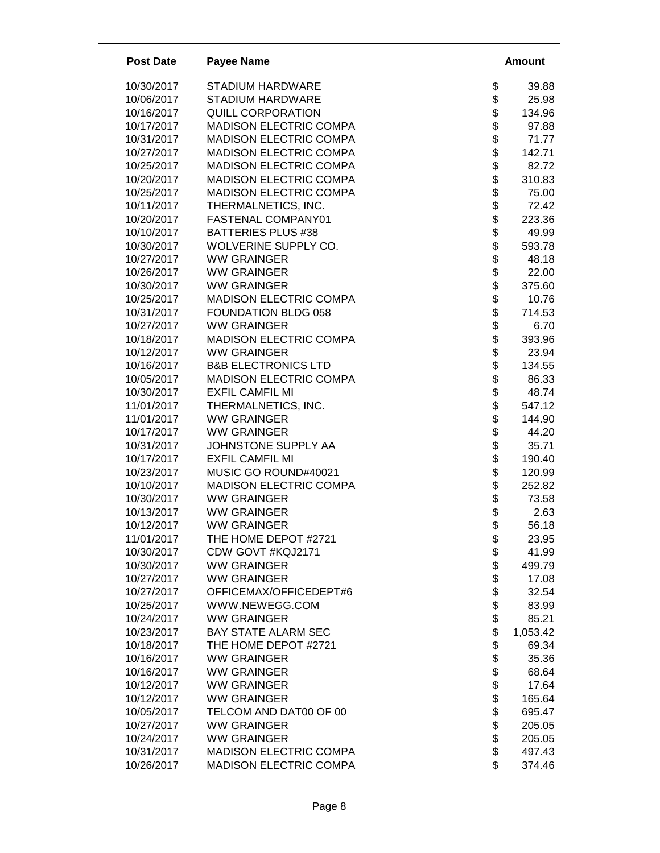| <b>Post Date</b>         | <b>Payee Name</b>                        |                    | <b>Amount</b>  |
|--------------------------|------------------------------------------|--------------------|----------------|
| 10/30/2017               | STADIUM HARDWARE                         | \$                 | 39.88          |
| 10/06/2017               | <b>STADIUM HARDWARE</b>                  | \$                 | 25.98          |
| 10/16/2017               | <b>QUILL CORPORATION</b>                 | \$                 | 134.96         |
| 10/17/2017               | <b>MADISON ELECTRIC COMPA</b>            |                    | 97.88          |
| 10/31/2017               | <b>MADISON ELECTRIC COMPA</b>            |                    | 71.77          |
| 10/27/2017               | <b>MADISON ELECTRIC COMPA</b>            | \$\$\$\$\$\$\$     | 142.71         |
| 10/25/2017               | <b>MADISON ELECTRIC COMPA</b>            |                    | 82.72          |
| 10/20/2017               | <b>MADISON ELECTRIC COMPA</b>            |                    | 310.83         |
| 10/25/2017               | MADISON ELECTRIC COMPA                   |                    | 75.00          |
| 10/11/2017               | THERMALNETICS, INC.                      |                    | 72.42          |
| 10/20/2017               | FASTENAL COMPANY01                       | \$                 | 223.36         |
| 10/10/2017               | <b>BATTERIES PLUS #38</b>                | \$                 | 49.99          |
| 10/30/2017               | WOLVERINE SUPPLY CO.                     | \$                 | 593.78         |
| 10/27/2017               | <b>WW GRAINGER</b>                       | \$                 | 48.18          |
| 10/26/2017               | <b>WW GRAINGER</b>                       |                    | 22.00          |
| 10/30/2017               | <b>WW GRAINGER</b>                       |                    | 375.60         |
| 10/25/2017               | <b>MADISON ELECTRIC COMPA</b>            |                    | 10.76          |
| 10/31/2017               | FOUNDATION BLDG 058                      |                    | 714.53         |
| 10/27/2017               | <b>WW GRAINGER</b>                       |                    | 6.70           |
| 10/18/2017               | <b>MADISON ELECTRIC COMPA</b>            |                    | 393.96         |
| 10/12/2017               | <b>WW GRAINGER</b>                       |                    | 23.94          |
| 10/16/2017               | <b>B&amp;B ELECTRONICS LTD</b>           |                    | 134.55         |
| 10/05/2017               | <b>MADISON ELECTRIC COMPA</b>            |                    | 86.33          |
| 10/30/2017               | <b>EXFIL CAMFIL MI</b>                   | <b>88888888888</b> | 48.74          |
| 11/01/2017               | THERMALNETICS, INC.                      |                    | 547.12         |
| 11/01/2017               | <b>WW GRAINGER</b>                       | \$                 | 144.90         |
| 10/17/2017               | <b>WW GRAINGER</b>                       | \$                 | 44.20          |
| 10/31/2017               | JOHNSTONE SUPPLY AA                      | \$                 | 35.71          |
| 10/17/2017               | <b>EXFIL CAMFIL MI</b>                   | \$                 | 190.40         |
| 10/23/2017               | MUSIC GO ROUND#40021                     | \$                 | 120.99         |
| 10/10/2017               | <b>MADISON ELECTRIC COMPA</b>            | \$                 | 252.82         |
| 10/30/2017               | <b>WW GRAINGER</b>                       | \$                 | 73.58          |
| 10/13/2017               | <b>WW GRAINGER</b>                       | \$                 | 2.63           |
| 10/12/2017               | <b>WW GRAINGER</b>                       | \$                 | 56.18          |
| 11/01/2017               | THE HOME DEPOT #2721                     | \$                 | 23.95          |
| 10/30/2017               | CDW GOVT #KQJ2171                        | \$<br>\$           | 41.99          |
| 10/30/2017               | <b>WW GRAINGER</b>                       |                    | 499.79         |
| 10/27/2017               | <b>WW GRAINGER</b>                       | \$\$               | 17.08          |
| 10/27/2017               | OFFICEMAX/OFFICEDEPT#6<br>WWW.NEWEGG.COM |                    | 32.54          |
| 10/25/2017<br>10/24/2017 | <b>WW GRAINGER</b>                       |                    | 83.99<br>85.21 |
| 10/23/2017               | <b>BAY STATE ALARM SEC</b>               | \$<br>\$           | 1,053.42       |
| 10/18/2017               | THE HOME DEPOT #2721                     | \$                 | 69.34          |
| 10/16/2017               | <b>WW GRAINGER</b>                       | \$                 | 35.36          |
| 10/16/2017               | <b>WW GRAINGER</b>                       | \$                 | 68.64          |
| 10/12/2017               | <b>WW GRAINGER</b>                       | \$                 | 17.64          |
| 10/12/2017               | <b>WW GRAINGER</b>                       | \$                 | 165.64         |
| 10/05/2017               | TELCOM AND DAT00 OF 00                   | \$                 | 695.47         |
| 10/27/2017               | <b>WW GRAINGER</b>                       | \$                 | 205.05         |
| 10/24/2017               | <b>WW GRAINGER</b>                       |                    | 205.05         |
| 10/31/2017               | <b>MADISON ELECTRIC COMPA</b>            | \$                 | 497.43         |
| 10/26/2017               | <b>MADISON ELECTRIC COMPA</b>            | \$                 | 374.46         |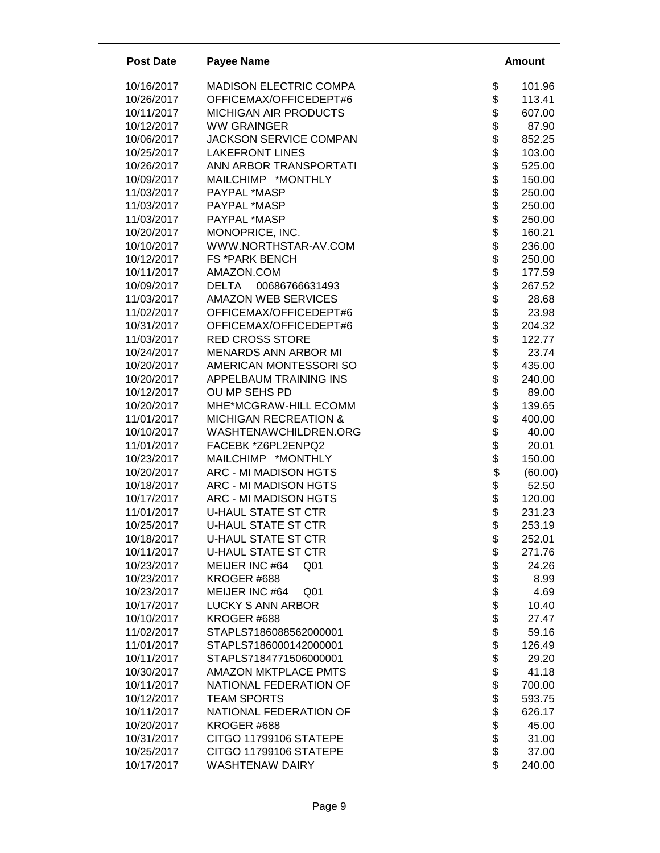| <b>Post Date</b>         | <b>Payee Name</b>                                         | Amount                                      |
|--------------------------|-----------------------------------------------------------|---------------------------------------------|
| 10/16/2017               | <b>MADISON ELECTRIC COMPA</b>                             | \$<br>101.96                                |
| 10/26/2017               | OFFICEMAX/OFFICEDEPT#6                                    | 113.41                                      |
| 10/11/2017               | <b>MICHIGAN AIR PRODUCTS</b>                              | 607.00                                      |
| 10/12/2017               | <b>WW GRAINGER</b>                                        | 87.90                                       |
| 10/06/2017               | <b>JACKSON SERVICE COMPAN</b>                             | \$\$\$\$\$\$\$\$\$\$\$\$\$\$<br>852.25      |
| 10/25/2017               | <b>LAKEFRONT LINES</b>                                    | 103.00                                      |
| 10/26/2017               | ANN ARBOR TRANSPORTATI                                    | 525.00                                      |
| 10/09/2017               | MAILCHIMP *MONTHLY                                        | 150.00                                      |
| 11/03/2017               | PAYPAL *MASP                                              | 250.00                                      |
| 11/03/2017               | PAYPAL *MASP                                              | 250.00                                      |
| 11/03/2017               | PAYPAL *MASP                                              | 250.00                                      |
| 10/20/2017               | MONOPRICE, INC.                                           | 160.21                                      |
| 10/10/2017               | WWW.NORTHSTAR-AV.COM                                      | 236.00                                      |
| 10/12/2017               | <b>FS *PARK BENCH</b>                                     | \$<br>250.00                                |
| 10/11/2017               | AMAZON.COM                                                | 177.59                                      |
| 10/09/2017               | <b>DELTA</b><br>00686766631493                            | 267.52                                      |
| 11/03/2017               | <b>AMAZON WEB SERVICES</b>                                | 28.68                                       |
| 11/02/2017               | OFFICEMAX/OFFICEDEPT#6                                    | 23.98                                       |
| 10/31/2017               | OFFICEMAX/OFFICEDEPT#6                                    | 204.32                                      |
| 11/03/2017               | <b>RED CROSS STORE</b>                                    | 122.77                                      |
| 10/24/2017               | <b>MENARDS ANN ARBOR MI</b>                               | 23.74                                       |
| 10/20/2017               | AMERICAN MONTESSORI SO                                    | 435.00                                      |
| 10/20/2017               | APPELBAUM TRAINING INS                                    | 240.00                                      |
| 10/12/2017<br>10/20/2017 | OU MP SEHS PD                                             | \$\$\$\$\$\$\$\$\$\$\$\$\$\$\$\$\$<br>89.00 |
| 11/01/2017               | MHE*MCGRAW-HILL ECOMM<br><b>MICHIGAN RECREATION &amp;</b> | 139.65                                      |
| 10/10/2017               | WASHTENAWCHILDREN.ORG                                     | 400.00<br>40.00                             |
| 11/01/2017               | FACEBK *Z6PL2ENPQ2                                        | 20.01                                       |
| 10/23/2017               | MAILCHIMP *MONTHLY                                        | 150.00                                      |
| 10/20/2017               | ARC - MI MADISON HGTS                                     | (60.00)                                     |
| 10/18/2017               | ARC - MI MADISON HGTS                                     | \$\$\$\$<br>52.50                           |
| 10/17/2017               | ARC - MI MADISON HGTS                                     | 120.00                                      |
| 11/01/2017               | <b>U-HAUL STATE ST CTR</b>                                | 231.23                                      |
| 10/25/2017               | <b>U-HAUL STATE ST CTR</b>                                | \$<br>253.19                                |
| 10/18/2017               | U-HAUL STATE ST CTR                                       | \$<br>252.01                                |
| 10/11/2017               | <b>U-HAUL STATE ST CTR</b>                                | 271.76                                      |
| 10/23/2017               | MEIJER INC #64<br>Q <sub>01</sub>                         | 24.26                                       |
| 10/23/2017               | KROGER #688                                               | 8.99                                        |
| 10/23/2017               | MEIJER INC #64<br>Q <sub>01</sub>                         | \$\$\$\$\$\$\$\$\$\$\$\$<br>4.69            |
| 10/17/2017               | <b>LUCKY S ANN ARBOR</b>                                  | 10.40                                       |
| 10/10/2017               | KROGER #688                                               | 27.47                                       |
| 11/02/2017               | STAPLS7186088562000001                                    | 59.16                                       |
| 11/01/2017               | STAPLS7186000142000001                                    | 126.49                                      |
| 10/11/2017               | STAPLS7184771506000001                                    | 29.20                                       |
| 10/30/2017               | <b>AMAZON MKTPLACE PMTS</b>                               | 41.18                                       |
| 10/11/2017               | NATIONAL FEDERATION OF                                    | 700.00                                      |
| 10/12/2017               | <b>TEAM SPORTS</b>                                        | \$<br>593.75                                |
| 10/11/2017               | NATIONAL FEDERATION OF                                    | 626.17                                      |
| 10/20/2017               | KROGER #688                                               | <b>88888</b><br>45.00                       |
| 10/31/2017               | CITGO 11799106 STATEPE                                    | 31.00                                       |
| 10/25/2017               | CITGO 11799106 STATEPE                                    | 37.00                                       |
| 10/17/2017               | <b>WASHTENAW DAIRY</b>                                    | 240.00                                      |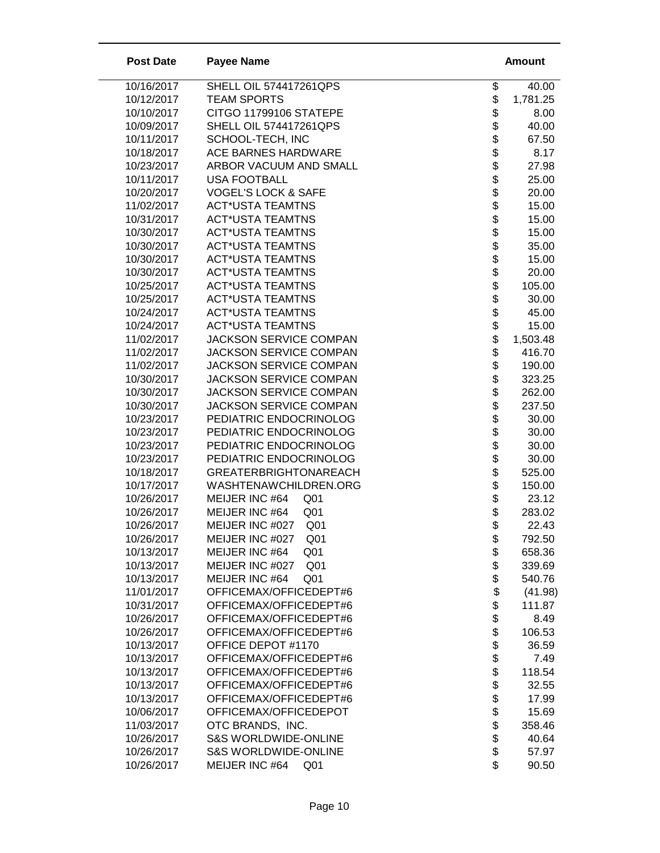| <b>Post Date</b>         | <b>Payee Name</b>                         | <b>Amount</b>                       |
|--------------------------|-------------------------------------------|-------------------------------------|
| 10/16/2017               | SHELL OIL 574417261QPS                    | \$<br>40.00                         |
| 10/12/2017               | <b>TEAM SPORTS</b>                        | 1,781.25                            |
| 10/10/2017               | CITGO 11799106 STATEPE                    | 8.00                                |
| 10/09/2017               | <b>SHELL OIL 574417261QPS</b>             | 40.00                               |
| 10/11/2017               | SCHOOL-TECH, INC                          | \$\$\$\$\$<br>67.50                 |
| 10/18/2017               | ACE BARNES HARDWARE                       | 8.17                                |
| 10/23/2017               | ARBOR VACUUM AND SMALL                    | 27.98                               |
| 10/11/2017               | <b>USA FOOTBALL</b>                       | \$<br>25.00                         |
| 10/20/2017               | <b>VOGEL'S LOCK &amp; SAFE</b>            | \$<br>20.00                         |
| 11/02/2017               | <b>ACT*USTA TEAMTNS</b>                   | \$<br>15.00                         |
| 10/31/2017               | <b>ACT*USTA TEAMTNS</b>                   | 15.00                               |
| 10/30/2017               | <b>ACT*USTA TEAMTNS</b>                   | 15.00                               |
| 10/30/2017               | <b>ACT*USTA TEAMTNS</b>                   | 35.00                               |
| 10/30/2017               | <b>ACT*USTA TEAMTNS</b>                   | 15.00                               |
| 10/30/2017               | <b>ACT*USTA TEAMTNS</b>                   | 20.00                               |
| 10/25/2017               | <b>ACT*USTA TEAMTNS</b>                   | 105.00                              |
| 10/25/2017               | <b>ACT*USTA TEAMTNS</b>                   | 30.00                               |
| 10/24/2017               | <b>ACT*USTA TEAMTNS</b>                   | 45.00                               |
| 10/24/2017               | <b>ACT*USTA TEAMTNS</b>                   | \$\$\$\$\$\$\$\$\$\$\$\$\$<br>15.00 |
| 11/02/2017               | <b>JACKSON SERVICE COMPAN</b>             | 1,503.48                            |
| 11/02/2017               | <b>JACKSON SERVICE COMPAN</b>             | 416.70                              |
| 11/02/2017               | <b>JACKSON SERVICE COMPAN</b>             | 190.00                              |
| 10/30/2017               | JACKSON SERVICE COMPAN                    | \$<br>323.25                        |
| 10/30/2017               | <b>JACKSON SERVICE COMPAN</b>             | \$<br>262.00                        |
| 10/30/2017               | JACKSON SERVICE COMPAN                    | \$<br>237.50                        |
| 10/23/2017               | PEDIATRIC ENDOCRINOLOG                    | \$<br>30.00                         |
| 10/23/2017               | PEDIATRIC ENDOCRINOLOG                    | \$<br>30.00                         |
| 10/23/2017               | PEDIATRIC ENDOCRINOLOG                    | \$<br>30.00                         |
| 10/23/2017               | PEDIATRIC ENDOCRINOLOG                    | \$\$<br>30.00                       |
| 10/18/2017               | <b>GREATERBRIGHTONAREACH</b>              | 525.00                              |
| 10/17/2017               | WASHTENAWCHILDREN.ORG                     | 150.00                              |
| 10/26/2017               | MEIJER INC #64<br>Q <sub>01</sub>         | \$<br>23.12                         |
| 10/26/2017               | MEIJER INC #64<br>Q <sub>01</sub>         | \$<br>283.02                        |
| 10/26/2017               | MEIJER INC #027<br>Q <sub>01</sub>        | \$<br>22.43                         |
| 10/26/2017               | MEIJER INC #027<br>Q <sub>01</sub>        | \$<br>792.50                        |
| 10/13/2017               | MEIJER INC #64<br>Q <sub>01</sub>         | 658.36                              |
| 10/13/2017               | MEIJER INC #027<br>Q01                    | \$\$<br>339.69                      |
| 10/13/2017               | Q <sub>01</sub><br>MEIJER INC #64         | 540.76                              |
| 11/01/2017               | OFFICEMAX/OFFICEDEPT#6                    | \$<br>(41.98)                       |
| 10/31/2017               | OFFICEMAX/OFFICEDEPT#6                    | \$<br>111.87                        |
| 10/26/2017               | OFFICEMAX/OFFICEDEPT#6                    | \$<br>8.49                          |
| 10/26/2017               | OFFICEMAX/OFFICEDEPT#6                    | 106.53                              |
| 10/13/2017               | OFFICE DEPOT #1170                        | \$<br>36.59                         |
| 10/13/2017               | OFFICEMAX/OFFICEDEPT#6                    | \$<br>7.49                          |
| 10/13/2017               | OFFICEMAX/OFFICEDEPT#6                    | 118.54                              |
| 10/13/2017               | OFFICEMAX/OFFICEDEPT#6                    | 32.55                               |
| 10/13/2017               | OFFICEMAX/OFFICEDEPT#6                    | 17.99                               |
| 10/06/2017<br>11/03/2017 | OFFICEMAX/OFFICEDEPOT<br>OTC BRANDS, INC. | 15.69                               |
| 10/26/2017               | <b>S&amp;S WORLDWIDE-ONLINE</b>           | 358.46<br>40.64                     |
| 10/26/2017               | <b>S&amp;S WORLDWIDE-ONLINE</b>           | <b>8888888</b><br>57.97             |
| 10/26/2017               | MEIJER INC #64<br>Q <sub>01</sub>         | \$<br>90.50                         |
|                          |                                           |                                     |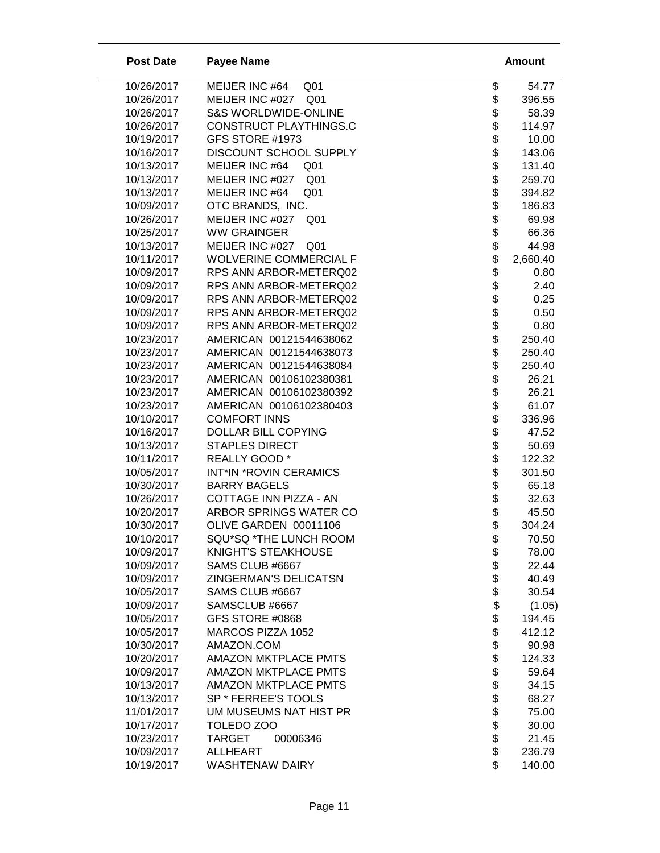| <b>Post Date</b>         | <b>Payee Name</b>                  | <b>Amount</b>            |
|--------------------------|------------------------------------|--------------------------|
| 10/26/2017               | MEIJER INC #64<br>Q <sub>01</sub>  | \$<br>54.77              |
| 10/26/2017               | MEIJER INC #027 Q01                | \$<br>396.55             |
| 10/26/2017               | <b>S&amp;S WORLDWIDE-ONLINE</b>    | \$<br>58.39              |
| 10/26/2017               | CONSTRUCT PLAYTHINGS.C             | \$<br>114.97             |
| 10/19/2017               | GFS STORE #1973                    | 10.00                    |
| 10/16/2017               | DISCOUNT SCHOOL SUPPLY             | \$<br>143.06             |
| 10/13/2017               | MEIJER INC #64<br>Q <sub>01</sub>  | \$<br>131.40             |
| 10/13/2017               | MEIJER INC #027 Q01                | \$<br>259.70             |
| 10/13/2017               | MEIJER INC #64<br>Q <sub>01</sub>  | \$<br>394.82             |
| 10/09/2017               | OTC BRANDS, INC.                   | \$<br>186.83             |
| 10/26/2017               | MEIJER INC #027<br>Q <sub>01</sub> | \$<br>69.98              |
| 10/25/2017               | <b>WW GRAINGER</b>                 | \$<br>66.36              |
| 10/13/2017               | MEIJER INC #027<br>Q <sub>01</sub> | 44.98                    |
| 10/11/2017               | <b>WOLVERINE COMMERCIAL F</b>      | 2,660.40                 |
| 10/09/2017               | RPS ANN ARBOR-METERQ02             | 0.80                     |
| 10/09/2017               | RPS ANN ARBOR-METERQ02             | 2.40                     |
| 10/09/2017               | RPS ANN ARBOR-METERQ02             | 0.25                     |
| 10/09/2017               | RPS ANN ARBOR-METERQ02             | 0.50                     |
| 10/09/2017               | RPS ANN ARBOR-METERQ02             | <b>88888888</b><br>0.80  |
| 10/23/2017               | AMERICAN 00121544638062            | 250.40                   |
| 10/23/2017               | AMERICAN 00121544638073            | 250.40                   |
| 10/23/2017               | AMERICAN 00121544638084            | \$\$<br>250.40           |
| 10/23/2017               | AMERICAN 00106102380381            | 26.21                    |
| 10/23/2017               | AMERICAN 00106102380392            | 26.21                    |
| 10/23/2017               | AMERICAN 00106102380403            | \$<br>61.07              |
| 10/10/2017               | <b>COMFORT INNS</b>                | \$<br>336.96             |
| 10/16/2017               | DOLLAR BILL COPYING                | \$<br>47.52              |
| 10/13/2017               | <b>STAPLES DIRECT</b>              | \$\$\$\$\$\$\$<br>50.69  |
| 10/11/2017               | REALLY GOOD *                      | 122.32                   |
| 10/05/2017               | INT*IN *ROVIN CERAMICS             | 301.50                   |
| 10/30/2017               | <b>BARRY BAGELS</b>                | 65.18                    |
| 10/26/2017               | COTTAGE INN PIZZA - AN             | 32.63                    |
| 10/20/2017               | ARBOR SPRINGS WATER CO             | 45.50                    |
| 10/30/2017               | OLIVE GARDEN 00011106              | \$<br>304.24             |
| 10/10/2017               | SQU*SQ *THE LUNCH ROOM             | 70.50<br>\$              |
| 10/09/2017               | KNIGHT'S STEAKHOUSE                | \$<br>\$<br>78.00        |
| 10/09/2017               | SAMS CLUB #6667                    | 22.44                    |
| 10/09/2017               | <b>ZINGERMAN'S DELICATSN</b>       | \$<br>40.49              |
| 10/05/2017               | SAMS CLUB #6667                    | \$<br>30.54              |
| 10/09/2017<br>10/05/2017 | SAMSCLUB #6667<br>GFS STORE #0868  | \$\$<br>(1.05)<br>194.45 |
| 10/05/2017               | MARCOS PIZZA 1052                  | 412.12                   |
| 10/30/2017               | AMAZON.COM                         | \$                       |
| 10/20/2017               | <b>AMAZON MKTPLACE PMTS</b>        | 90.98<br>\$<br>124.33    |
| 10/09/2017               | <b>AMAZON MKTPLACE PMTS</b>        | 59.64                    |
| 10/13/2017               | <b>AMAZON MKTPLACE PMTS</b>        | 34.15                    |
| 10/13/2017               | SP * FERREE'S TOOLS                | \$\$\$\$\$\$\$<br>68.27  |
| 11/01/2017               | UM MUSEUMS NAT HIST PR             | 75.00                    |
| 10/17/2017               | TOLEDO ZOO                         | 30.00                    |
| 10/23/2017               | <b>TARGET</b><br>00006346          | 21.45                    |
| 10/09/2017               | <b>ALLHEART</b>                    | \$<br>236.79             |
| 10/19/2017               | <b>WASHTENAW DAIRY</b>             | \$<br>140.00             |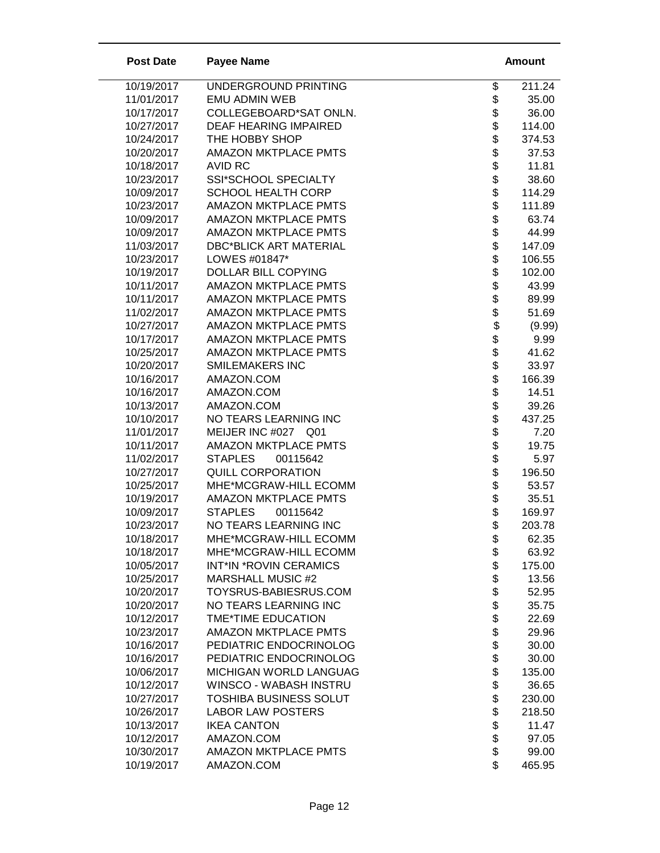| UNDERGROUND PRINTING<br>211.24<br>10/19/2017<br>\$<br>\$<br>11/01/2017<br><b>EMU ADMIN WEB</b><br>35.00<br>\$\$<br>10/17/2017<br>COLLEGEBOARD*SAT ONLN.<br>36.00<br>10/27/2017<br><b>DEAF HEARING IMPAIRED</b><br>114.00<br>10/24/2017<br>THE HOBBY SHOP<br>374.53<br>\$\$\$\$<br>10/20/2017<br><b>AMAZON MKTPLACE PMTS</b><br>37.53<br>10/18/2017<br>11.81<br><b>AVID RC</b><br>10/23/2017<br><b>SSI*SCHOOL SPECIALTY</b><br>38.60<br>SCHOOL HEALTH CORP<br>114.29<br>10/09/2017<br>$\ddot{\$}$<br>10/23/2017<br><b>AMAZON MKTPLACE PMTS</b><br>111.89<br>\$<br>10/09/2017<br><b>AMAZON MKTPLACE PMTS</b><br>63.74<br>\$\$\$\$\$\$\$\$\$\$\$\$\$\$<br>10/09/2017<br><b>AMAZON MKTPLACE PMTS</b><br>44.99<br>11/03/2017<br><b>DBC*BLICK ART MATERIAL</b><br>147.09<br>10/23/2017<br>LOWES #01847*<br>106.55<br>10/19/2017<br>DOLLAR BILL COPYING<br>102.00<br>10/11/2017<br><b>AMAZON MKTPLACE PMTS</b><br>43.99<br>10/11/2017<br><b>AMAZON MKTPLACE PMTS</b><br>89.99<br>11/02/2017<br><b>AMAZON MKTPLACE PMTS</b><br>51.69<br>10/27/2017<br><b>AMAZON MKTPLACE PMTS</b><br>(9.99)<br>10/17/2017<br><b>AMAZON MKTPLACE PMTS</b><br>9.99<br>41.62<br>10/25/2017<br><b>AMAZON MKTPLACE PMTS</b><br>10/20/2017<br><b>SMILEMAKERS INC</b><br>33.97<br>10/16/2017<br>AMAZON.COM<br>166.39<br>\$\$<br>10/16/2017<br>AMAZON.COM<br>14.51<br>10/13/2017<br>AMAZON.COM<br>39.26<br>NO TEARS LEARNING INC<br>10/10/2017<br>437.25<br>\$<br>MEIJER INC #027 Q01<br>7.20<br>11/01/2017<br>\$\$\$\$\$\$\$<br>10/11/2017<br><b>AMAZON MKTPLACE PMTS</b><br>19.75<br>11/02/2017<br><b>STAPLES</b><br>00115642<br>5.97<br>10/27/2017<br><b>QUILL CORPORATION</b><br>196.50<br>10/25/2017<br>MHE*MCGRAW-HILL ECOMM<br>53.57<br>10/19/2017<br><b>AMAZON MKTPLACE PMTS</b><br>35.51<br><b>STAPLES</b><br>00115642<br>10/09/2017<br>169.97<br>\$<br>NO TEARS LEARNING INC<br>10/23/2017<br>203.78<br>10/18/2017<br>MHE*MCGRAW-HILL ECOMM<br>\$<br>62.35<br><b>8888888</b><br>10/18/2017<br>MHE*MCGRAW-HILL ECOMM<br>63.92<br>INT*IN *ROVIN CERAMICS<br>175.00<br>10/05/2017<br><b>MARSHALL MUSIC #2</b><br>13.56<br>10/25/2017<br>10/20/2017<br>TOYSRUS-BABIESRUS.COM<br>52.95<br>10/20/2017<br>NO TEARS LEARNING INC<br>35.75<br>10/12/2017<br>TME*TIME EDUCATION<br>22.69<br><b>AMAZON MKTPLACE PMTS</b><br>10/23/2017<br>29.96<br>PEDIATRIC ENDOCRINOLOG<br>10/16/2017<br>30.00<br>\$<br>PEDIATRIC ENDOCRINOLOG<br>10/16/2017<br>30.00<br>\$<br>10/06/2017<br><b>MICHIGAN WORLD LANGUAG</b><br>135.00<br>\$\$\$\$\$\$\$<br>10/12/2017<br>WINSCO - WABASH INSTRU<br>36.65<br>10/27/2017<br>TOSHIBA BUSINESS SOLUT<br>230.00<br>10/26/2017<br><b>LABOR LAW POSTERS</b><br>218.50<br>10/13/2017<br><b>IKEA CANTON</b><br>11.47<br>10/12/2017<br>AMAZON.COM<br>97.05<br>10/30/2017<br><b>AMAZON MKTPLACE PMTS</b><br>99.00 | <b>Post Date</b> | <b>Payee Name</b> | <b>Amount</b> |
|--------------------------------------------------------------------------------------------------------------------------------------------------------------------------------------------------------------------------------------------------------------------------------------------------------------------------------------------------------------------------------------------------------------------------------------------------------------------------------------------------------------------------------------------------------------------------------------------------------------------------------------------------------------------------------------------------------------------------------------------------------------------------------------------------------------------------------------------------------------------------------------------------------------------------------------------------------------------------------------------------------------------------------------------------------------------------------------------------------------------------------------------------------------------------------------------------------------------------------------------------------------------------------------------------------------------------------------------------------------------------------------------------------------------------------------------------------------------------------------------------------------------------------------------------------------------------------------------------------------------------------------------------------------------------------------------------------------------------------------------------------------------------------------------------------------------------------------------------------------------------------------------------------------------------------------------------------------------------------------------------------------------------------------------------------------------------------------------------------------------------------------------------------------------------------------------------------------------------------------------------------------------------------------------------------------------------------------------------------------------------------------------------------------------------------------------------------------------------------------------------------------------------------------------------------------------------------------------------------------------------------------------------------------------------------------------------------------------------------------------------------------------------------------------------------|------------------|-------------------|---------------|
|                                                                                                                                                                                                                                                                                                                                                                                                                                                                                                                                                                                                                                                                                                                                                                                                                                                                                                                                                                                                                                                                                                                                                                                                                                                                                                                                                                                                                                                                                                                                                                                                                                                                                                                                                                                                                                                                                                                                                                                                                                                                                                                                                                                                                                                                                                                                                                                                                                                                                                                                                                                                                                                                                                                                                                                                        |                  |                   |               |
|                                                                                                                                                                                                                                                                                                                                                                                                                                                                                                                                                                                                                                                                                                                                                                                                                                                                                                                                                                                                                                                                                                                                                                                                                                                                                                                                                                                                                                                                                                                                                                                                                                                                                                                                                                                                                                                                                                                                                                                                                                                                                                                                                                                                                                                                                                                                                                                                                                                                                                                                                                                                                                                                                                                                                                                                        |                  |                   |               |
|                                                                                                                                                                                                                                                                                                                                                                                                                                                                                                                                                                                                                                                                                                                                                                                                                                                                                                                                                                                                                                                                                                                                                                                                                                                                                                                                                                                                                                                                                                                                                                                                                                                                                                                                                                                                                                                                                                                                                                                                                                                                                                                                                                                                                                                                                                                                                                                                                                                                                                                                                                                                                                                                                                                                                                                                        |                  |                   |               |
|                                                                                                                                                                                                                                                                                                                                                                                                                                                                                                                                                                                                                                                                                                                                                                                                                                                                                                                                                                                                                                                                                                                                                                                                                                                                                                                                                                                                                                                                                                                                                                                                                                                                                                                                                                                                                                                                                                                                                                                                                                                                                                                                                                                                                                                                                                                                                                                                                                                                                                                                                                                                                                                                                                                                                                                                        |                  |                   |               |
|                                                                                                                                                                                                                                                                                                                                                                                                                                                                                                                                                                                                                                                                                                                                                                                                                                                                                                                                                                                                                                                                                                                                                                                                                                                                                                                                                                                                                                                                                                                                                                                                                                                                                                                                                                                                                                                                                                                                                                                                                                                                                                                                                                                                                                                                                                                                                                                                                                                                                                                                                                                                                                                                                                                                                                                                        |                  |                   |               |
|                                                                                                                                                                                                                                                                                                                                                                                                                                                                                                                                                                                                                                                                                                                                                                                                                                                                                                                                                                                                                                                                                                                                                                                                                                                                                                                                                                                                                                                                                                                                                                                                                                                                                                                                                                                                                                                                                                                                                                                                                                                                                                                                                                                                                                                                                                                                                                                                                                                                                                                                                                                                                                                                                                                                                                                                        |                  |                   |               |
|                                                                                                                                                                                                                                                                                                                                                                                                                                                                                                                                                                                                                                                                                                                                                                                                                                                                                                                                                                                                                                                                                                                                                                                                                                                                                                                                                                                                                                                                                                                                                                                                                                                                                                                                                                                                                                                                                                                                                                                                                                                                                                                                                                                                                                                                                                                                                                                                                                                                                                                                                                                                                                                                                                                                                                                                        |                  |                   |               |
|                                                                                                                                                                                                                                                                                                                                                                                                                                                                                                                                                                                                                                                                                                                                                                                                                                                                                                                                                                                                                                                                                                                                                                                                                                                                                                                                                                                                                                                                                                                                                                                                                                                                                                                                                                                                                                                                                                                                                                                                                                                                                                                                                                                                                                                                                                                                                                                                                                                                                                                                                                                                                                                                                                                                                                                                        |                  |                   |               |
|                                                                                                                                                                                                                                                                                                                                                                                                                                                                                                                                                                                                                                                                                                                                                                                                                                                                                                                                                                                                                                                                                                                                                                                                                                                                                                                                                                                                                                                                                                                                                                                                                                                                                                                                                                                                                                                                                                                                                                                                                                                                                                                                                                                                                                                                                                                                                                                                                                                                                                                                                                                                                                                                                                                                                                                                        |                  |                   |               |
|                                                                                                                                                                                                                                                                                                                                                                                                                                                                                                                                                                                                                                                                                                                                                                                                                                                                                                                                                                                                                                                                                                                                                                                                                                                                                                                                                                                                                                                                                                                                                                                                                                                                                                                                                                                                                                                                                                                                                                                                                                                                                                                                                                                                                                                                                                                                                                                                                                                                                                                                                                                                                                                                                                                                                                                                        |                  |                   |               |
|                                                                                                                                                                                                                                                                                                                                                                                                                                                                                                                                                                                                                                                                                                                                                                                                                                                                                                                                                                                                                                                                                                                                                                                                                                                                                                                                                                                                                                                                                                                                                                                                                                                                                                                                                                                                                                                                                                                                                                                                                                                                                                                                                                                                                                                                                                                                                                                                                                                                                                                                                                                                                                                                                                                                                                                                        |                  |                   |               |
|                                                                                                                                                                                                                                                                                                                                                                                                                                                                                                                                                                                                                                                                                                                                                                                                                                                                                                                                                                                                                                                                                                                                                                                                                                                                                                                                                                                                                                                                                                                                                                                                                                                                                                                                                                                                                                                                                                                                                                                                                                                                                                                                                                                                                                                                                                                                                                                                                                                                                                                                                                                                                                                                                                                                                                                                        |                  |                   |               |
|                                                                                                                                                                                                                                                                                                                                                                                                                                                                                                                                                                                                                                                                                                                                                                                                                                                                                                                                                                                                                                                                                                                                                                                                                                                                                                                                                                                                                                                                                                                                                                                                                                                                                                                                                                                                                                                                                                                                                                                                                                                                                                                                                                                                                                                                                                                                                                                                                                                                                                                                                                                                                                                                                                                                                                                                        |                  |                   |               |
|                                                                                                                                                                                                                                                                                                                                                                                                                                                                                                                                                                                                                                                                                                                                                                                                                                                                                                                                                                                                                                                                                                                                                                                                                                                                                                                                                                                                                                                                                                                                                                                                                                                                                                                                                                                                                                                                                                                                                                                                                                                                                                                                                                                                                                                                                                                                                                                                                                                                                                                                                                                                                                                                                                                                                                                                        |                  |                   |               |
|                                                                                                                                                                                                                                                                                                                                                                                                                                                                                                                                                                                                                                                                                                                                                                                                                                                                                                                                                                                                                                                                                                                                                                                                                                                                                                                                                                                                                                                                                                                                                                                                                                                                                                                                                                                                                                                                                                                                                                                                                                                                                                                                                                                                                                                                                                                                                                                                                                                                                                                                                                                                                                                                                                                                                                                                        |                  |                   |               |
|                                                                                                                                                                                                                                                                                                                                                                                                                                                                                                                                                                                                                                                                                                                                                                                                                                                                                                                                                                                                                                                                                                                                                                                                                                                                                                                                                                                                                                                                                                                                                                                                                                                                                                                                                                                                                                                                                                                                                                                                                                                                                                                                                                                                                                                                                                                                                                                                                                                                                                                                                                                                                                                                                                                                                                                                        |                  |                   |               |
|                                                                                                                                                                                                                                                                                                                                                                                                                                                                                                                                                                                                                                                                                                                                                                                                                                                                                                                                                                                                                                                                                                                                                                                                                                                                                                                                                                                                                                                                                                                                                                                                                                                                                                                                                                                                                                                                                                                                                                                                                                                                                                                                                                                                                                                                                                                                                                                                                                                                                                                                                                                                                                                                                                                                                                                                        |                  |                   |               |
|                                                                                                                                                                                                                                                                                                                                                                                                                                                                                                                                                                                                                                                                                                                                                                                                                                                                                                                                                                                                                                                                                                                                                                                                                                                                                                                                                                                                                                                                                                                                                                                                                                                                                                                                                                                                                                                                                                                                                                                                                                                                                                                                                                                                                                                                                                                                                                                                                                                                                                                                                                                                                                                                                                                                                                                                        |                  |                   |               |
|                                                                                                                                                                                                                                                                                                                                                                                                                                                                                                                                                                                                                                                                                                                                                                                                                                                                                                                                                                                                                                                                                                                                                                                                                                                                                                                                                                                                                                                                                                                                                                                                                                                                                                                                                                                                                                                                                                                                                                                                                                                                                                                                                                                                                                                                                                                                                                                                                                                                                                                                                                                                                                                                                                                                                                                                        |                  |                   |               |
|                                                                                                                                                                                                                                                                                                                                                                                                                                                                                                                                                                                                                                                                                                                                                                                                                                                                                                                                                                                                                                                                                                                                                                                                                                                                                                                                                                                                                                                                                                                                                                                                                                                                                                                                                                                                                                                                                                                                                                                                                                                                                                                                                                                                                                                                                                                                                                                                                                                                                                                                                                                                                                                                                                                                                                                                        |                  |                   |               |
|                                                                                                                                                                                                                                                                                                                                                                                                                                                                                                                                                                                                                                                                                                                                                                                                                                                                                                                                                                                                                                                                                                                                                                                                                                                                                                                                                                                                                                                                                                                                                                                                                                                                                                                                                                                                                                                                                                                                                                                                                                                                                                                                                                                                                                                                                                                                                                                                                                                                                                                                                                                                                                                                                                                                                                                                        |                  |                   |               |
|                                                                                                                                                                                                                                                                                                                                                                                                                                                                                                                                                                                                                                                                                                                                                                                                                                                                                                                                                                                                                                                                                                                                                                                                                                                                                                                                                                                                                                                                                                                                                                                                                                                                                                                                                                                                                                                                                                                                                                                                                                                                                                                                                                                                                                                                                                                                                                                                                                                                                                                                                                                                                                                                                                                                                                                                        |                  |                   |               |
|                                                                                                                                                                                                                                                                                                                                                                                                                                                                                                                                                                                                                                                                                                                                                                                                                                                                                                                                                                                                                                                                                                                                                                                                                                                                                                                                                                                                                                                                                                                                                                                                                                                                                                                                                                                                                                                                                                                                                                                                                                                                                                                                                                                                                                                                                                                                                                                                                                                                                                                                                                                                                                                                                                                                                                                                        |                  |                   |               |
|                                                                                                                                                                                                                                                                                                                                                                                                                                                                                                                                                                                                                                                                                                                                                                                                                                                                                                                                                                                                                                                                                                                                                                                                                                                                                                                                                                                                                                                                                                                                                                                                                                                                                                                                                                                                                                                                                                                                                                                                                                                                                                                                                                                                                                                                                                                                                                                                                                                                                                                                                                                                                                                                                                                                                                                                        |                  |                   |               |
|                                                                                                                                                                                                                                                                                                                                                                                                                                                                                                                                                                                                                                                                                                                                                                                                                                                                                                                                                                                                                                                                                                                                                                                                                                                                                                                                                                                                                                                                                                                                                                                                                                                                                                                                                                                                                                                                                                                                                                                                                                                                                                                                                                                                                                                                                                                                                                                                                                                                                                                                                                                                                                                                                                                                                                                                        |                  |                   |               |
|                                                                                                                                                                                                                                                                                                                                                                                                                                                                                                                                                                                                                                                                                                                                                                                                                                                                                                                                                                                                                                                                                                                                                                                                                                                                                                                                                                                                                                                                                                                                                                                                                                                                                                                                                                                                                                                                                                                                                                                                                                                                                                                                                                                                                                                                                                                                                                                                                                                                                                                                                                                                                                                                                                                                                                                                        |                  |                   |               |
|                                                                                                                                                                                                                                                                                                                                                                                                                                                                                                                                                                                                                                                                                                                                                                                                                                                                                                                                                                                                                                                                                                                                                                                                                                                                                                                                                                                                                                                                                                                                                                                                                                                                                                                                                                                                                                                                                                                                                                                                                                                                                                                                                                                                                                                                                                                                                                                                                                                                                                                                                                                                                                                                                                                                                                                                        |                  |                   |               |
|                                                                                                                                                                                                                                                                                                                                                                                                                                                                                                                                                                                                                                                                                                                                                                                                                                                                                                                                                                                                                                                                                                                                                                                                                                                                                                                                                                                                                                                                                                                                                                                                                                                                                                                                                                                                                                                                                                                                                                                                                                                                                                                                                                                                                                                                                                                                                                                                                                                                                                                                                                                                                                                                                                                                                                                                        |                  |                   |               |
|                                                                                                                                                                                                                                                                                                                                                                                                                                                                                                                                                                                                                                                                                                                                                                                                                                                                                                                                                                                                                                                                                                                                                                                                                                                                                                                                                                                                                                                                                                                                                                                                                                                                                                                                                                                                                                                                                                                                                                                                                                                                                                                                                                                                                                                                                                                                                                                                                                                                                                                                                                                                                                                                                                                                                                                                        |                  |                   |               |
|                                                                                                                                                                                                                                                                                                                                                                                                                                                                                                                                                                                                                                                                                                                                                                                                                                                                                                                                                                                                                                                                                                                                                                                                                                                                                                                                                                                                                                                                                                                                                                                                                                                                                                                                                                                                                                                                                                                                                                                                                                                                                                                                                                                                                                                                                                                                                                                                                                                                                                                                                                                                                                                                                                                                                                                                        |                  |                   |               |
|                                                                                                                                                                                                                                                                                                                                                                                                                                                                                                                                                                                                                                                                                                                                                                                                                                                                                                                                                                                                                                                                                                                                                                                                                                                                                                                                                                                                                                                                                                                                                                                                                                                                                                                                                                                                                                                                                                                                                                                                                                                                                                                                                                                                                                                                                                                                                                                                                                                                                                                                                                                                                                                                                                                                                                                                        |                  |                   |               |
|                                                                                                                                                                                                                                                                                                                                                                                                                                                                                                                                                                                                                                                                                                                                                                                                                                                                                                                                                                                                                                                                                                                                                                                                                                                                                                                                                                                                                                                                                                                                                                                                                                                                                                                                                                                                                                                                                                                                                                                                                                                                                                                                                                                                                                                                                                                                                                                                                                                                                                                                                                                                                                                                                                                                                                                                        |                  |                   |               |
|                                                                                                                                                                                                                                                                                                                                                                                                                                                                                                                                                                                                                                                                                                                                                                                                                                                                                                                                                                                                                                                                                                                                                                                                                                                                                                                                                                                                                                                                                                                                                                                                                                                                                                                                                                                                                                                                                                                                                                                                                                                                                                                                                                                                                                                                                                                                                                                                                                                                                                                                                                                                                                                                                                                                                                                                        |                  |                   |               |
|                                                                                                                                                                                                                                                                                                                                                                                                                                                                                                                                                                                                                                                                                                                                                                                                                                                                                                                                                                                                                                                                                                                                                                                                                                                                                                                                                                                                                                                                                                                                                                                                                                                                                                                                                                                                                                                                                                                                                                                                                                                                                                                                                                                                                                                                                                                                                                                                                                                                                                                                                                                                                                                                                                                                                                                                        |                  |                   |               |
|                                                                                                                                                                                                                                                                                                                                                                                                                                                                                                                                                                                                                                                                                                                                                                                                                                                                                                                                                                                                                                                                                                                                                                                                                                                                                                                                                                                                                                                                                                                                                                                                                                                                                                                                                                                                                                                                                                                                                                                                                                                                                                                                                                                                                                                                                                                                                                                                                                                                                                                                                                                                                                                                                                                                                                                                        |                  |                   |               |
|                                                                                                                                                                                                                                                                                                                                                                                                                                                                                                                                                                                                                                                                                                                                                                                                                                                                                                                                                                                                                                                                                                                                                                                                                                                                                                                                                                                                                                                                                                                                                                                                                                                                                                                                                                                                                                                                                                                                                                                                                                                                                                                                                                                                                                                                                                                                                                                                                                                                                                                                                                                                                                                                                                                                                                                                        |                  |                   |               |
|                                                                                                                                                                                                                                                                                                                                                                                                                                                                                                                                                                                                                                                                                                                                                                                                                                                                                                                                                                                                                                                                                                                                                                                                                                                                                                                                                                                                                                                                                                                                                                                                                                                                                                                                                                                                                                                                                                                                                                                                                                                                                                                                                                                                                                                                                                                                                                                                                                                                                                                                                                                                                                                                                                                                                                                                        |                  |                   |               |
|                                                                                                                                                                                                                                                                                                                                                                                                                                                                                                                                                                                                                                                                                                                                                                                                                                                                                                                                                                                                                                                                                                                                                                                                                                                                                                                                                                                                                                                                                                                                                                                                                                                                                                                                                                                                                                                                                                                                                                                                                                                                                                                                                                                                                                                                                                                                                                                                                                                                                                                                                                                                                                                                                                                                                                                                        |                  |                   |               |
|                                                                                                                                                                                                                                                                                                                                                                                                                                                                                                                                                                                                                                                                                                                                                                                                                                                                                                                                                                                                                                                                                                                                                                                                                                                                                                                                                                                                                                                                                                                                                                                                                                                                                                                                                                                                                                                                                                                                                                                                                                                                                                                                                                                                                                                                                                                                                                                                                                                                                                                                                                                                                                                                                                                                                                                                        |                  |                   |               |
|                                                                                                                                                                                                                                                                                                                                                                                                                                                                                                                                                                                                                                                                                                                                                                                                                                                                                                                                                                                                                                                                                                                                                                                                                                                                                                                                                                                                                                                                                                                                                                                                                                                                                                                                                                                                                                                                                                                                                                                                                                                                                                                                                                                                                                                                                                                                                                                                                                                                                                                                                                                                                                                                                                                                                                                                        |                  |                   |               |
|                                                                                                                                                                                                                                                                                                                                                                                                                                                                                                                                                                                                                                                                                                                                                                                                                                                                                                                                                                                                                                                                                                                                                                                                                                                                                                                                                                                                                                                                                                                                                                                                                                                                                                                                                                                                                                                                                                                                                                                                                                                                                                                                                                                                                                                                                                                                                                                                                                                                                                                                                                                                                                                                                                                                                                                                        |                  |                   |               |
|                                                                                                                                                                                                                                                                                                                                                                                                                                                                                                                                                                                                                                                                                                                                                                                                                                                                                                                                                                                                                                                                                                                                                                                                                                                                                                                                                                                                                                                                                                                                                                                                                                                                                                                                                                                                                                                                                                                                                                                                                                                                                                                                                                                                                                                                                                                                                                                                                                                                                                                                                                                                                                                                                                                                                                                                        |                  |                   |               |
|                                                                                                                                                                                                                                                                                                                                                                                                                                                                                                                                                                                                                                                                                                                                                                                                                                                                                                                                                                                                                                                                                                                                                                                                                                                                                                                                                                                                                                                                                                                                                                                                                                                                                                                                                                                                                                                                                                                                                                                                                                                                                                                                                                                                                                                                                                                                                                                                                                                                                                                                                                                                                                                                                                                                                                                                        |                  |                   |               |
|                                                                                                                                                                                                                                                                                                                                                                                                                                                                                                                                                                                                                                                                                                                                                                                                                                                                                                                                                                                                                                                                                                                                                                                                                                                                                                                                                                                                                                                                                                                                                                                                                                                                                                                                                                                                                                                                                                                                                                                                                                                                                                                                                                                                                                                                                                                                                                                                                                                                                                                                                                                                                                                                                                                                                                                                        |                  |                   |               |
|                                                                                                                                                                                                                                                                                                                                                                                                                                                                                                                                                                                                                                                                                                                                                                                                                                                                                                                                                                                                                                                                                                                                                                                                                                                                                                                                                                                                                                                                                                                                                                                                                                                                                                                                                                                                                                                                                                                                                                                                                                                                                                                                                                                                                                                                                                                                                                                                                                                                                                                                                                                                                                                                                                                                                                                                        |                  |                   |               |
|                                                                                                                                                                                                                                                                                                                                                                                                                                                                                                                                                                                                                                                                                                                                                                                                                                                                                                                                                                                                                                                                                                                                                                                                                                                                                                                                                                                                                                                                                                                                                                                                                                                                                                                                                                                                                                                                                                                                                                                                                                                                                                                                                                                                                                                                                                                                                                                                                                                                                                                                                                                                                                                                                                                                                                                                        |                  |                   |               |
|                                                                                                                                                                                                                                                                                                                                                                                                                                                                                                                                                                                                                                                                                                                                                                                                                                                                                                                                                                                                                                                                                                                                                                                                                                                                                                                                                                                                                                                                                                                                                                                                                                                                                                                                                                                                                                                                                                                                                                                                                                                                                                                                                                                                                                                                                                                                                                                                                                                                                                                                                                                                                                                                                                                                                                                                        |                  |                   |               |
|                                                                                                                                                                                                                                                                                                                                                                                                                                                                                                                                                                                                                                                                                                                                                                                                                                                                                                                                                                                                                                                                                                                                                                                                                                                                                                                                                                                                                                                                                                                                                                                                                                                                                                                                                                                                                                                                                                                                                                                                                                                                                                                                                                                                                                                                                                                                                                                                                                                                                                                                                                                                                                                                                                                                                                                                        |                  |                   |               |
|                                                                                                                                                                                                                                                                                                                                                                                                                                                                                                                                                                                                                                                                                                                                                                                                                                                                                                                                                                                                                                                                                                                                                                                                                                                                                                                                                                                                                                                                                                                                                                                                                                                                                                                                                                                                                                                                                                                                                                                                                                                                                                                                                                                                                                                                                                                                                                                                                                                                                                                                                                                                                                                                                                                                                                                                        |                  |                   |               |
|                                                                                                                                                                                                                                                                                                                                                                                                                                                                                                                                                                                                                                                                                                                                                                                                                                                                                                                                                                                                                                                                                                                                                                                                                                                                                                                                                                                                                                                                                                                                                                                                                                                                                                                                                                                                                                                                                                                                                                                                                                                                                                                                                                                                                                                                                                                                                                                                                                                                                                                                                                                                                                                                                                                                                                                                        |                  |                   |               |
|                                                                                                                                                                                                                                                                                                                                                                                                                                                                                                                                                                                                                                                                                                                                                                                                                                                                                                                                                                                                                                                                                                                                                                                                                                                                                                                                                                                                                                                                                                                                                                                                                                                                                                                                                                                                                                                                                                                                                                                                                                                                                                                                                                                                                                                                                                                                                                                                                                                                                                                                                                                                                                                                                                                                                                                                        | 10/19/2017       | AMAZON.COM        | \$<br>465.95  |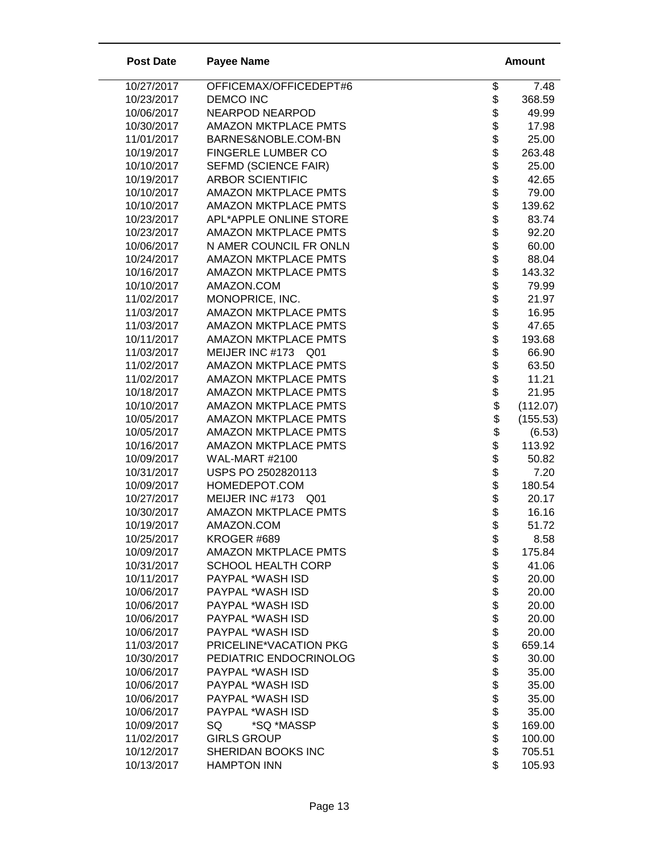| <b>Post Date</b>         | <b>Payee Name</b>           |                    | <b>Amount</b>  |
|--------------------------|-----------------------------|--------------------|----------------|
| 10/27/2017               | OFFICEMAX/OFFICEDEPT#6      | \$                 | 7.48           |
| 10/23/2017               | <b>DEMCO INC</b>            | \$                 | 368.59         |
| 10/06/2017               | <b>NEARPOD NEARPOD</b>      |                    | 49.99          |
| 10/30/2017               | <b>AMAZON MKTPLACE PMTS</b> |                    | 17.98          |
| 11/01/2017               | BARNES&NOBLE.COM-BN         |                    | 25.00          |
| 10/19/2017               | FINGERLE LUMBER CO          | ୫୫୫୫୫୫୫୫           | 263.48         |
| 10/10/2017               | <b>SEFMD (SCIENCE FAIR)</b> |                    | 25.00          |
| 10/19/2017               | <b>ARBOR SCIENTIFIC</b>     |                    | 42.65          |
| 10/10/2017               | <b>AMAZON MKTPLACE PMTS</b> |                    | 79.00          |
| 10/10/2017               | <b>AMAZON MKTPLACE PMTS</b> |                    | 139.62         |
| 10/23/2017               | APL*APPLE ONLINE STORE      | \$                 | 83.74          |
| 10/23/2017               | <b>AMAZON MKTPLACE PMTS</b> | \$                 | 92.20          |
| 10/06/2017               | N AMER COUNCIL FR ONLN      |                    | 60.00          |
| 10/24/2017               | <b>AMAZON MKTPLACE PMTS</b> |                    | 88.04          |
| 10/16/2017               | <b>AMAZON MKTPLACE PMTS</b> |                    | 143.32         |
| 10/10/2017               | AMAZON.COM                  |                    | 79.99          |
| 11/02/2017               | MONOPRICE, INC.             |                    | 21.97          |
| 11/03/2017               | <b>AMAZON MKTPLACE PMTS</b> |                    | 16.95          |
| 11/03/2017               | <b>AMAZON MKTPLACE PMTS</b> |                    | 47.65          |
| 10/11/2017               | <b>AMAZON MKTPLACE PMTS</b> |                    | 193.68         |
| 11/03/2017               | MEIJER INC #173 Q01         | <b>88888888888</b> | 66.90          |
| 11/02/2017               | <b>AMAZON MKTPLACE PMTS</b> |                    | 63.50          |
| 11/02/2017               | <b>AMAZON MKTPLACE PMTS</b> |                    | 11.21          |
| 10/18/2017               | <b>AMAZON MKTPLACE PMTS</b> | \$                 | 21.95          |
| 10/10/2017               | <b>AMAZON MKTPLACE PMTS</b> | \$                 | (112.07)       |
| 10/05/2017               | <b>AMAZON MKTPLACE PMTS</b> | \$                 | (155.53)       |
| 10/05/2017               | <b>AMAZON MKTPLACE PMTS</b> | \$                 | (6.53)         |
| 10/16/2017               | <b>AMAZON MKTPLACE PMTS</b> | \$                 | 113.92         |
| 10/09/2017               | <b>WAL-MART #2100</b>       | \$                 | 50.82          |
| 10/31/2017               | USPS PO 2502820113          |                    | 7.20           |
| 10/09/2017               | HOMEDEPOT.COM               | \$\$\$             | 180.54         |
| 10/27/2017               | MEIJER INC #173 Q01         |                    | 20.17          |
| 10/30/2017               | <b>AMAZON MKTPLACE PMTS</b> | \$                 | 16.16          |
| 10/19/2017<br>10/25/2017 | AMAZON.COM<br>KROGER #689   |                    | 51.72          |
| 10/09/2017               | <b>AMAZON MKTPLACE PMTS</b> | \$                 | 8.58<br>175.84 |
| 10/31/2017               | <b>SCHOOL HEALTH CORP</b>   |                    | 41.06          |
| 10/11/2017               | PAYPAL *WASH ISD            | \$\$\$\$\$         | 20.00          |
| 10/06/2017               | PAYPAL *WASH ISD            |                    | 20.00          |
| 10/06/2017               | PAYPAL *WASH ISD            |                    | 20.00          |
| 10/06/2017               | PAYPAL *WASH ISD            |                    | 20.00          |
| 10/06/2017               | PAYPAL *WASH ISD            |                    | 20.00          |
| 11/03/2017               | PRICELINE*VACATION PKG      | \$\$               | 659.14         |
| 10/30/2017               | PEDIATRIC ENDOCRINOLOG      | \$                 | 30.00          |
| 10/06/2017               | PAYPAL *WASH ISD            | \$                 | 35.00          |
| 10/06/2017               | PAYPAL *WASH ISD            |                    | 35.00          |
| 10/06/2017               | PAYPAL *WASH ISD            |                    | 35.00          |
| 10/06/2017               | PAYPAL *WASH ISD            | 88888              | 35.00          |
| 10/09/2017               | *SQ *MASSP<br>SQ            |                    | 169.00         |
| 11/02/2017               | <b>GIRLS GROUP</b>          |                    | 100.00         |
| 10/12/2017               | SHERIDAN BOOKS INC          |                    | 705.51         |
| 10/13/2017               | <b>HAMPTON INN</b>          | \$                 | 105.93         |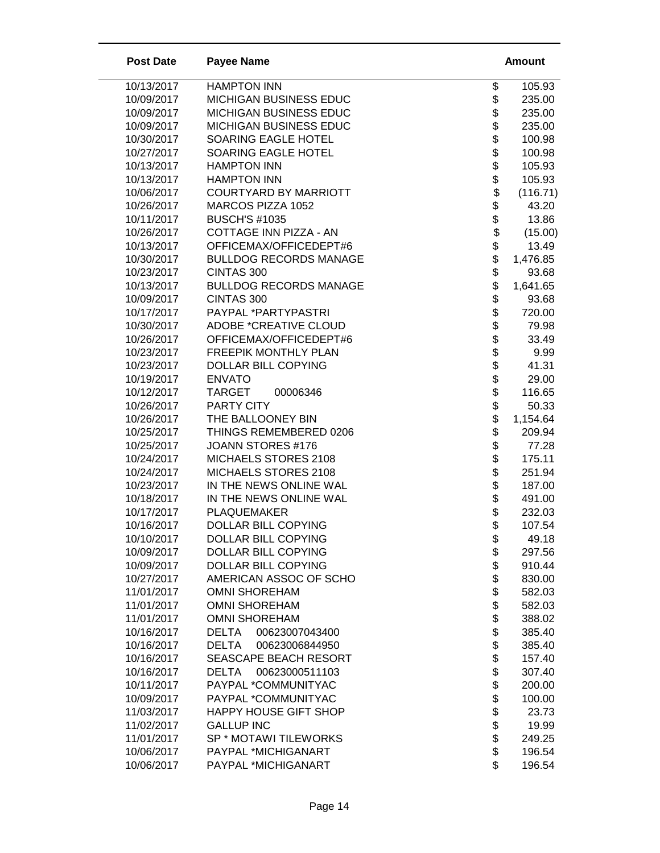| <b>Post Date</b>         | <b>Payee Name</b>                            |                                | <b>Amount</b>    |
|--------------------------|----------------------------------------------|--------------------------------|------------------|
| 10/13/2017               | <b>HAMPTON INN</b>                           | \$                             | 105.93           |
| 10/09/2017               | MICHIGAN BUSINESS EDUC                       | \$                             | 235.00           |
| 10/09/2017               | MICHIGAN BUSINESS EDUC                       | \$                             | 235.00           |
| 10/09/2017               | MICHIGAN BUSINESS EDUC                       |                                | 235.00           |
| 10/30/2017               | SOARING EAGLE HOTEL                          | \$\$                           | 100.98           |
| 10/27/2017               | SOARING EAGLE HOTEL                          |                                | 100.98           |
| 10/13/2017               | <b>HAMPTON INN</b>                           |                                | 105.93           |
| 10/13/2017               | <b>HAMPTON INN</b>                           | \$<br>\$                       | 105.93           |
| 10/06/2017               | <b>COURTYARD BY MARRIOTT</b>                 |                                | (116.71)         |
| 10/26/2017               | MARCOS PIZZA 1052                            | \$\$                           | 43.20            |
| 10/11/2017               | <b>BUSCH'S #1035</b>                         |                                | 13.86            |
| 10/26/2017               | COTTAGE INN PIZZA - AN                       | \$                             | (15.00)          |
| 10/13/2017               | OFFICEMAX/OFFICEDEPT#6                       |                                | 13.49            |
| 10/30/2017               | <b>BULLDOG RECORDS MANAGE</b>                |                                | 1,476.85         |
| 10/23/2017               | CINTAS 300                                   |                                | 93.68            |
| 10/13/2017               | <b>BULLDOG RECORDS MANAGE</b>                |                                | 1,641.65         |
| 10/09/2017               | CINTAS 300                                   |                                | 93.68            |
| 10/17/2017               | PAYPAL *PARTYPASTRI                          |                                | 720.00           |
| 10/30/2017               | <b>ADOBE *CREATIVE CLOUD</b>                 | \$\$\$\$\$\$\$\$\$\$\$\$\$\$\$ | 79.98            |
| 10/26/2017               | OFFICEMAX/OFFICEDEPT#6                       |                                | 33.49            |
| 10/23/2017               | FREEPIK MONTHLY PLAN                         |                                | 9.99             |
| 10/23/2017               | <b>DOLLAR BILL COPYING</b>                   |                                | 41.31            |
| 10/19/2017               | <b>ENVATO</b>                                |                                | 29.00            |
| 10/12/2017               | <b>TARGET</b><br>00006346                    |                                | 116.65           |
| 10/26/2017               | <b>PARTY CITY</b>                            |                                | 50.33            |
| 10/26/2017               | THE BALLOONEY BIN                            | \$                             | 1,154.64         |
| 10/25/2017               | THINGS REMEMBERED 0206                       | \$                             | 209.94           |
| 10/25/2017               | JOANN STORES #176                            | \$                             | 77.28            |
| 10/24/2017               | MICHAELS STORES 2108                         | \$\$\$\$\$                     | 175.11           |
| 10/24/2017               | MICHAELS STORES 2108                         |                                | 251.94           |
| 10/23/2017               | IN THE NEWS ONLINE WAL                       |                                | 187.00           |
| 10/18/2017               | IN THE NEWS ONLINE WAL                       |                                | 491.00           |
| 10/17/2017               | <b>PLAQUEMAKER</b>                           |                                | 232.03           |
| 10/16/2017               | <b>DOLLAR BILL COPYING</b>                   | \$                             | 107.54           |
| 10/10/2017               | <b>DOLLAR BILL COPYING</b>                   | \$                             | 49.18            |
| 10/09/2017               | <b>DOLLAR BILL COPYING</b>                   | \$                             | 297.56           |
| 10/09/2017               | DOLLAR BILL COPYING                          | \$                             | 910.44           |
| 10/27/2017               | AMERICAN ASSOC OF SCHO                       | \$                             | 830.00           |
| 11/01/2017               | <b>OMNI SHOREHAM</b>                         | \$                             | 582.03           |
| 11/01/2017               | <b>OMNI SHOREHAM</b><br><b>OMNI SHOREHAM</b> | \$                             | 582.03           |
| 11/01/2017<br>10/16/2017 | DELTA<br>00623007043400                      |                                | 388.02<br>385.40 |
| 10/16/2017               | 00623006844950<br><b>DELTA</b>               | \$\$                           | 385.40           |
| 10/16/2017               | SEASCAPE BEACH RESORT                        | \$                             | 157.40           |
| 10/16/2017               | DELTA<br>00623000511103                      | \$                             | 307.40           |
| 10/11/2017               | PAYPAL *COMMUNITYAC                          | \$                             | 200.00           |
| 10/09/2017               | PAYPAL *COMMUNITYAC                          |                                | 100.00           |
| 11/03/2017               | HAPPY HOUSE GIFT SHOP                        | \$\$\$\$\$                     | 23.73            |
| 11/02/2017               | <b>GALLUP INC</b>                            |                                | 19.99            |
| 11/01/2017               | SP * MOTAWI TILEWORKS                        |                                | 249.25           |
| 10/06/2017               | PAYPAL *MICHIGANART                          |                                | 196.54           |
| 10/06/2017               | PAYPAL *MICHIGANART                          | \$                             | 196.54           |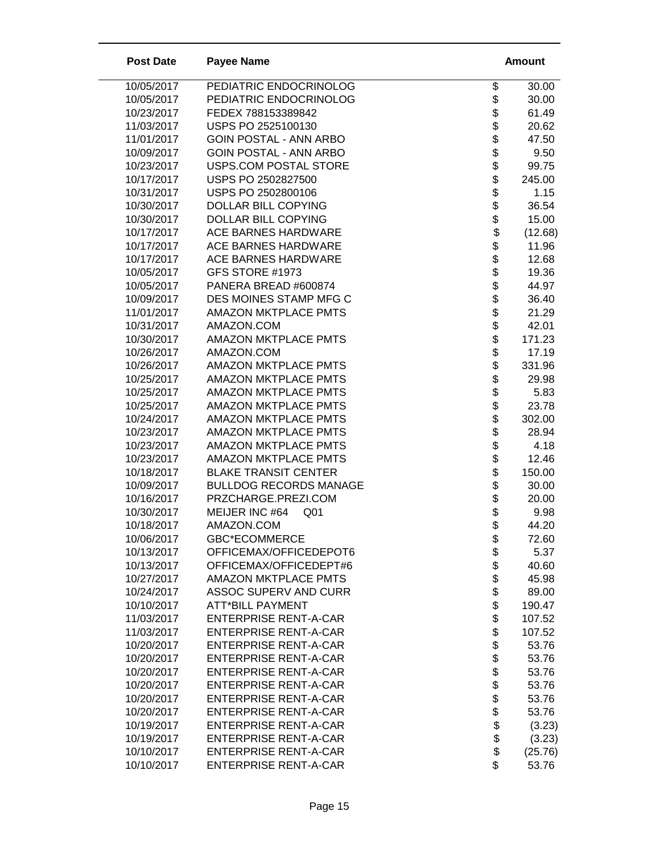| <b>Post Date</b> | <b>Payee Name</b>                 |                                | Amount  |
|------------------|-----------------------------------|--------------------------------|---------|
| 10/05/2017       | PEDIATRIC ENDOCRINOLOG            | \$                             | 30.00   |
| 10/05/2017       | PEDIATRIC ENDOCRINOLOG            |                                | 30.00   |
| 10/23/2017       | FEDEX 788153389842                |                                | 61.49   |
| 11/03/2017       | USPS PO 2525100130                |                                | 20.62   |
| 11/01/2017       | <b>GOIN POSTAL - ANN ARBO</b>     |                                | 47.50   |
| 10/09/2017       | <b>GOIN POSTAL - ANN ARBO</b>     |                                | 9.50    |
| 10/23/2017       | USPS.COM POSTAL STORE             |                                | 99.75   |
| 10/17/2017       | USPS PO 2502827500                |                                | 245.00  |
| 10/31/2017       | USPS PO 2502800106                |                                | 1.15    |
| 10/30/2017       | DOLLAR BILL COPYING               | \$\$\$\$\$\$\$\$\$\$\$\$\$\$\$ | 36.54   |
| 10/30/2017       | DOLLAR BILL COPYING               |                                | 15.00   |
| 10/17/2017       | ACE BARNES HARDWARE               |                                | (12.68) |
| 10/17/2017       | ACE BARNES HARDWARE               |                                | 11.96   |
| 10/17/2017       | <b>ACE BARNES HARDWARE</b>        |                                | 12.68   |
| 10/05/2017       | GFS STORE #1973                   |                                | 19.36   |
| 10/05/2017       | PANERA BREAD #600874              |                                | 44.97   |
| 10/09/2017       | DES MOINES STAMP MFG C            |                                | 36.40   |
| 11/01/2017       | <b>AMAZON MKTPLACE PMTS</b>       |                                | 21.29   |
| 10/31/2017       | AMAZON.COM                        |                                | 42.01   |
| 10/30/2017       | <b>AMAZON MKTPLACE PMTS</b>       |                                | 171.23  |
| 10/26/2017       | AMAZON.COM                        |                                | 17.19   |
| 10/26/2017       | <b>AMAZON MKTPLACE PMTS</b>       |                                | 331.96  |
| 10/25/2017       | <b>AMAZON MKTPLACE PMTS</b>       |                                | 29.98   |
| 10/25/2017       | <b>AMAZON MKTPLACE PMTS</b>       |                                | 5.83    |
| 10/25/2017       | <b>AMAZON MKTPLACE PMTS</b>       |                                | 23.78   |
| 10/24/2017       | <b>AMAZON MKTPLACE PMTS</b>       |                                | 302.00  |
| 10/23/2017       | <b>AMAZON MKTPLACE PMTS</b>       | \$                             | 28.94   |
| 10/23/2017       | <b>AMAZON MKTPLACE PMTS</b>       |                                | 4.18    |
| 10/23/2017       | <b>AMAZON MKTPLACE PMTS</b>       | $\ddot{\$}$                    | 12.46   |
| 10/18/2017       | <b>BLAKE TRANSIT CENTER</b>       | \$                             | 150.00  |
| 10/09/2017       | <b>BULLDOG RECORDS MANAGE</b>     | \$                             | 30.00   |
| 10/16/2017       | PRZCHARGE.PREZI.COM               | \$                             | 20.00   |
| 10/30/2017       | MEIJER INC #64<br>Q <sub>01</sub> | $\ddot{\$}$                    | 9.98    |
| 10/18/2017       | AMAZON.COM                        | \$                             | 44.20   |
| 10/06/2017       | GBC*ECOMMERCE                     | \$                             | 72.60   |
| 10/13/2017       | OFFICEMAX/OFFICEDEPOT6            |                                | 5.37    |
| 10/13/2017       | OFFICEMAX/OFFICEDEPT#6            |                                | 40.60   |
| 10/27/2017       | <b>AMAZON MKTPLACE PMTS</b>       | \$\$\$\$\$\$\$                 | 45.98   |
| 10/24/2017       | <b>ASSOC SUPERV AND CURR</b>      |                                | 89.00   |
| 10/10/2017       | <b>ATT*BILL PAYMENT</b>           |                                | 190.47  |
| 11/03/2017       | <b>ENTERPRISE RENT-A-CAR</b>      |                                | 107.52  |
| 11/03/2017       | <b>ENTERPRISE RENT-A-CAR</b>      | \$\$\$\$\$                     | 107.52  |
| 10/20/2017       | <b>ENTERPRISE RENT-A-CAR</b>      |                                | 53.76   |
| 10/20/2017       | <b>ENTERPRISE RENT-A-CAR</b>      |                                | 53.76   |
| 10/20/2017       | <b>ENTERPRISE RENT-A-CAR</b>      |                                | 53.76   |
| 10/20/2017       | <b>ENTERPRISE RENT-A-CAR</b>      |                                | 53.76   |
| 10/20/2017       | <b>ENTERPRISE RENT-A-CAR</b>      | \$                             | 53.76   |
| 10/20/2017       | <b>ENTERPRISE RENT-A-CAR</b>      | \$\$\$\$                       | 53.76   |
| 10/19/2017       | <b>ENTERPRISE RENT-A-CAR</b>      |                                | (3.23)  |
| 10/19/2017       | <b>ENTERPRISE RENT-A-CAR</b>      |                                | (3.23)  |
| 10/10/2017       | <b>ENTERPRISE RENT-A-CAR</b>      |                                | (25.76) |
| 10/10/2017       | <b>ENTERPRISE RENT-A-CAR</b>      | \$                             | 53.76   |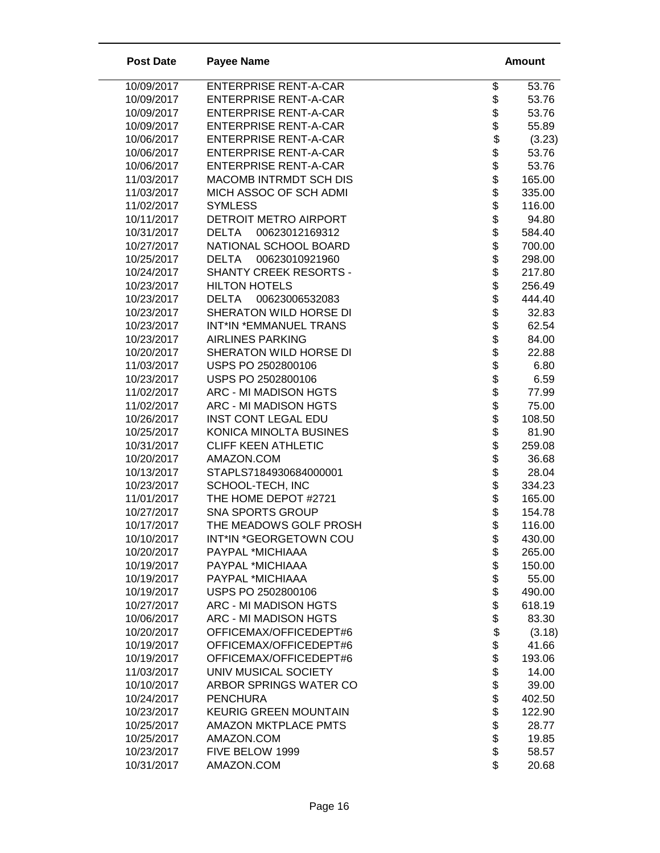| <b>Post Date</b>         | <b>Payee Name</b>                              |                                  | <b>Amount</b>   |
|--------------------------|------------------------------------------------|----------------------------------|-----------------|
| 10/09/2017               | <b>ENTERPRISE RENT-A-CAR</b>                   | \$                               | 53.76           |
| 10/09/2017               | <b>ENTERPRISE RENT-A-CAR</b>                   | \$                               | 53.76           |
| 10/09/2017               | <b>ENTERPRISE RENT-A-CAR</b>                   |                                  | 53.76           |
| 10/09/2017               | <b>ENTERPRISE RENT-A-CAR</b>                   |                                  | 55.89           |
| 10/06/2017               | <b>ENTERPRISE RENT-A-CAR</b>                   |                                  | (3.23)          |
| 10/06/2017               | <b>ENTERPRISE RENT-A-CAR</b>                   |                                  | 53.76           |
| 10/06/2017               | <b>ENTERPRISE RENT-A-CAR</b>                   |                                  | 53.76           |
| 11/03/2017               | MACOMB INTRMDT SCH DIS                         |                                  | 165.00          |
| 11/03/2017               | MICH ASSOC OF SCH ADMI                         |                                  | 335.00          |
| 11/02/2017               | <b>SYMLESS</b>                                 | <b>8888888</b>                   | 116.00          |
| 10/11/2017               | DETROIT METRO AIRPORT                          | \$                               | 94.80           |
| 10/31/2017               | <b>DELTA</b><br>00623012169312                 | \$                               | 584.40          |
| 10/27/2017               | NATIONAL SCHOOL BOARD                          | \$                               | 700.00          |
| 10/25/2017               | 00623010921960<br><b>DELTA</b>                 |                                  | 298.00          |
| 10/24/2017               | SHANTY CREEK RESORTS -                         |                                  | 217.80          |
| 10/23/2017               | <b>HILTON HOTELS</b>                           |                                  | 256.49          |
| 10/23/2017               | <b>DELTA</b><br>00623006532083                 |                                  | 444.40          |
| 10/23/2017               | SHERATON WILD HORSE DI                         |                                  | 32.83           |
| 10/23/2017               | INT*IN *EMMANUEL TRANS                         |                                  | 62.54           |
| 10/23/2017               | <b>AIRLINES PARKING</b>                        |                                  | 84.00           |
| 10/20/2017               | SHERATON WILD HORSE DI                         |                                  | 22.88           |
| 11/03/2017               | USPS PO 2502800106                             |                                  | 6.80            |
| 10/23/2017               | USPS PO 2502800106                             |                                  | 6.59            |
| 11/02/2017               | ARC - MI MADISON HGTS                          |                                  | 77.99           |
| 11/02/2017               | ARC - MI MADISON HGTS                          | <b>a a a a a a a a a a a a a</b> | 75.00           |
| 10/26/2017               | <b>INST CONT LEGAL EDU</b>                     |                                  | 108.50          |
| 10/25/2017               | KONICA MINOLTA BUSINES                         | \$                               | 81.90           |
| 10/31/2017               | <b>CLIFF KEEN ATHLETIC</b>                     | \$                               | 259.08          |
| 10/20/2017               | AMAZON.COM                                     | \$\$\$\$\$                       | 36.68           |
| 10/13/2017               | STAPLS7184930684000001                         |                                  | 28.04           |
| 10/23/2017               | SCHOOL-TECH, INC                               |                                  | 334.23          |
| 11/01/2017               | THE HOME DEPOT #2721                           |                                  | 165.00          |
| 10/27/2017               | <b>SNA SPORTS GROUP</b>                        |                                  | 154.78          |
| 10/17/2017               | THE MEADOWS GOLF PROSH                         | \$                               | 116.00          |
| 10/10/2017               | INT*IN *GEORGETOWN COU                         | \$                               | 430.00          |
| 10/20/2017               | PAYPAL *MICHIAAA                               | \$                               | 265.00          |
| 10/19/2017               | PAYPAL *MICHIAAA                               | \$                               | 150.00          |
| 10/19/2017               | PAYPAL *MICHIAAA                               | \$                               | 55.00           |
| 10/19/2017               | USPS PO 2502800106                             |                                  | 490.00          |
| 10/27/2017<br>10/06/2017 | ARC - MI MADISON HGTS<br>ARC - MI MADISON HGTS | \$                               | 618.19<br>83.30 |
| 10/20/2017               | OFFICEMAX/OFFICEDEPT#6                         | \$<br>\$                         |                 |
| 10/19/2017               | OFFICEMAX/OFFICEDEPT#6                         |                                  | (3.18)<br>41.66 |
| 10/19/2017               | OFFICEMAX/OFFICEDEPT#6                         | \$<br>\$                         | 193.06          |
| 11/03/2017               | UNIV MUSICAL SOCIETY                           | \$                               | 14.00           |
| 10/10/2017               | ARBOR SPRINGS WATER CO                         |                                  | 39.00           |
| 10/24/2017               | <b>PENCHURA</b>                                |                                  | 402.50          |
| 10/23/2017               | <b>KEURIG GREEN MOUNTAIN</b>                   | \$\$\$\$\$\$                     | 122.90          |
| 10/25/2017               | AMAZON MKTPLACE PMTS                           |                                  | 28.77           |
| 10/25/2017               | AMAZON.COM                                     |                                  | 19.85           |
| 10/23/2017               | FIVE BELOW 1999                                |                                  | 58.57           |
| 10/31/2017               | AMAZON.COM                                     | \$                               | 20.68           |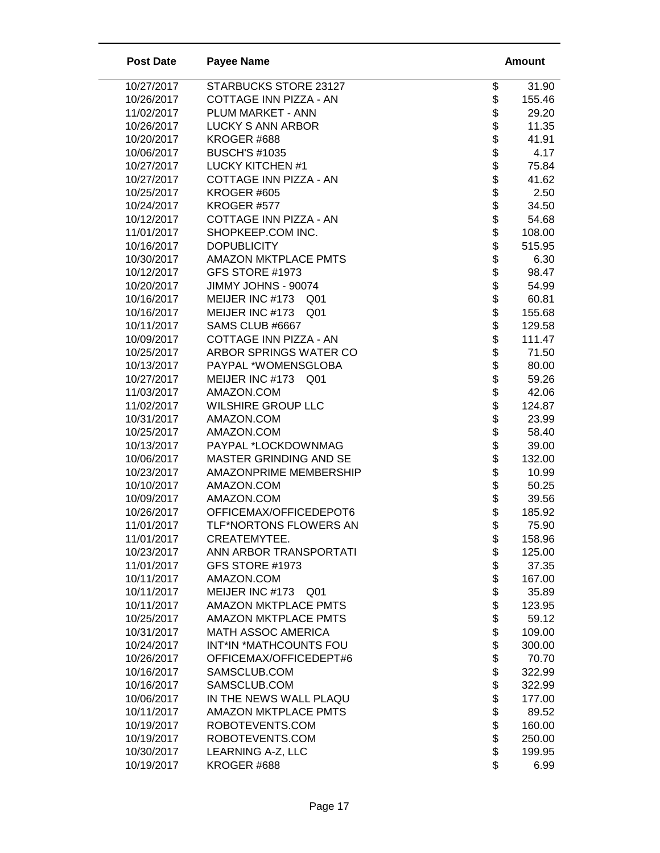| <b>Post Date</b>         | <b>Payee Name</b>                      | <b>Amount</b>                             |
|--------------------------|----------------------------------------|-------------------------------------------|
| 10/27/2017               | STARBUCKS STORE 23127                  | \$<br>31.90                               |
| 10/26/2017               | COTTAGE INN PIZZA - AN                 | \$<br>155.46                              |
| 11/02/2017               | <b>PLUM MARKET - ANN</b>               | 29.20                                     |
| 10/26/2017               | <b>LUCKY S ANN ARBOR</b>               | 11.35                                     |
| 10/20/2017               | KROGER #688                            | 41.91                                     |
| 10/06/2017               | <b>BUSCH'S #1035</b>                   | 4.17                                      |
| 10/27/2017               | <b>LUCKY KITCHEN #1</b>                | 75.84                                     |
| 10/27/2017               | COTTAGE INN PIZZA - AN                 | 41.62                                     |
| 10/25/2017               | KROGER #605                            | \$\$\$\$\$\$\$\$\$\$\$\$<br>2.50          |
| 10/24/2017               | KROGER #577                            | 34.50                                     |
| 10/12/2017               | COTTAGE INN PIZZA - AN                 | 54.68                                     |
| 11/01/2017               | SHOPKEEP.COM INC.                      | 108.00                                    |
| 10/16/2017               | <b>DOPUBLICITY</b>                     | \$<br>515.95                              |
| 10/30/2017               | <b>AMAZON MKTPLACE PMTS</b>            | 6.30                                      |
| 10/12/2017               | GFS STORE #1973                        | 98.47                                     |
| 10/20/2017               | JIMMY JOHNS - 90074                    | 54.99                                     |
| 10/16/2017               | MEIJER INC #173<br>Q <sub>01</sub>     | 60.81                                     |
| 10/16/2017               | MEIJER INC #173<br>Q <sub>01</sub>     | 155.68                                    |
| 10/11/2017               | SAMS CLUB #6667                        | 129.58                                    |
| 10/09/2017               | COTTAGE INN PIZZA - AN                 | 111.47                                    |
| 10/25/2017               | ARBOR SPRINGS WATER CO                 | 71.50                                     |
| 10/13/2017               | PAYPAL *WOMENSGLOBA                    | 80.00                                     |
| 10/27/2017               | MEIJER INC #173<br>Q <sub>01</sub>     | 59.26                                     |
| 11/03/2017               | AMAZON.COM                             | 42.06                                     |
| 11/02/2017               | <b>WILSHIRE GROUP LLC</b>              | 124.87                                    |
| 10/31/2017               | AMAZON.COM                             | \$\$\$\$\$\$\$\$\$\$\$\$\$\$\$\$<br>23.99 |
| 10/25/2017               | AMAZON.COM                             | 58.40                                     |
| 10/13/2017               | PAYPAL *LOCKDOWNMAG                    | \$<br>39.00                               |
| 10/06/2017               | MASTER GRINDING AND SE                 | \$<br>132.00                              |
| 10/23/2017               | AMAZONPRIME MEMBERSHIP                 | \$<br>10.99                               |
| 10/10/2017               | AMAZON.COM                             | \$<br>50.25                               |
| 10/09/2017               | AMAZON.COM                             | \$<br>\$<br>39.56                         |
| 10/26/2017               | OFFICEMAX/OFFICEDEPOT6                 | 185.92                                    |
| 11/01/2017               | TLF*NORTONS FLOWERS AN                 | \$<br>75.90                               |
| 11/01/2017               | CREATEMYTEE.                           | \$<br>158.96                              |
| 10/23/2017               | ANN ARBOR TRANSPORTATI                 | 125.00                                    |
| 11/01/2017               | GFS STORE #1973                        | 37.35                                     |
| 10/11/2017               | AMAZON.COM                             | \$\$\$\$\$<br>167.00                      |
| 10/11/2017               | MEIJER INC #173<br>Q <sub>01</sub>     | 35.89                                     |
| 10/11/2017               | <b>AMAZON MKTPLACE PMTS</b>            | 123.95                                    |
| 10/25/2017               | <b>AMAZON MKTPLACE PMTS</b>            | \$<br>59.12                               |
| 10/31/2017               | <b>MATH ASSOC AMERICA</b>              | \$<br>109.00                              |
| 10/24/2017               | INT*IN *MATHCOUNTS FOU                 | 300.00                                    |
| 10/26/2017               | OFFICEMAX/OFFICEDEPT#6<br>SAMSCLUB.COM | \$\$<br>70.70                             |
| 10/16/2017<br>10/16/2017 | SAMSCLUB.COM                           | 322.99<br>\$                              |
|                          | IN THE NEWS WALL PLAQU                 | 322.99<br>\$                              |
| 10/06/2017<br>10/11/2017 | <b>AMAZON MKTPLACE PMTS</b>            | 177.00<br>89.52                           |
| 10/19/2017               | ROBOTEVENTS.COM                        | 160.00                                    |
| 10/19/2017               | ROBOTEVENTS.COM                        | 250.00                                    |
| 10/30/2017               | LEARNING A-Z, LLC                      | \$\$\$\$<br>199.95                        |
| 10/19/2017               | KROGER #688                            | \$<br>6.99                                |
|                          |                                        |                                           |